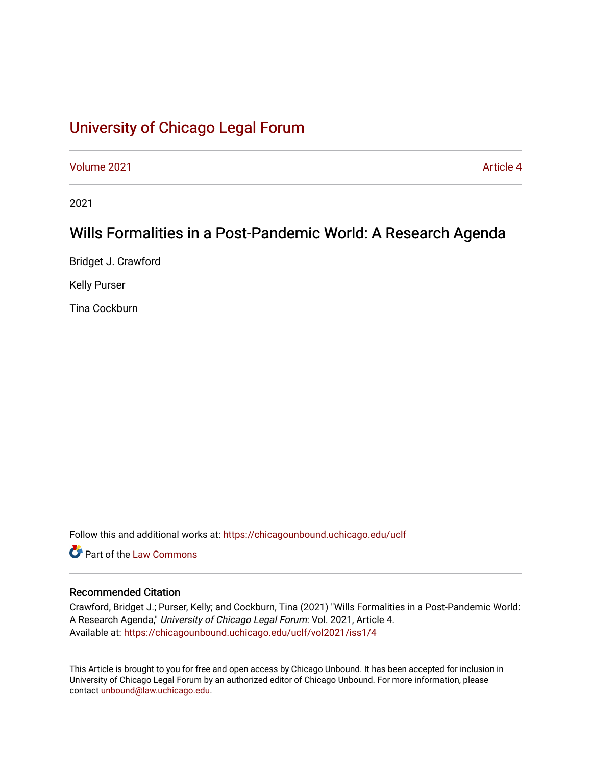# [University of Chicago Legal Forum](https://chicagounbound.uchicago.edu/uclf)

[Volume 2021](https://chicagounbound.uchicago.edu/uclf/vol2021) **Article 4** Article 4

2021

## Wills Formalities in a Post-Pandemic World: A Research Agenda

Bridget J. Crawford

Kelly Purser

Tina Cockburn

Follow this and additional works at: [https://chicagounbound.uchicago.edu/uclf](https://chicagounbound.uchicago.edu/uclf?utm_source=chicagounbound.uchicago.edu%2Fuclf%2Fvol2021%2Fiss1%2F4&utm_medium=PDF&utm_campaign=PDFCoverPages) 

**C** Part of the [Law Commons](https://network.bepress.com/hgg/discipline/578?utm_source=chicagounbound.uchicago.edu%2Fuclf%2Fvol2021%2Fiss1%2F4&utm_medium=PDF&utm_campaign=PDFCoverPages)

## Recommended Citation

Crawford, Bridget J.; Purser, Kelly; and Cockburn, Tina (2021) "Wills Formalities in a Post-Pandemic World: A Research Agenda," University of Chicago Legal Forum: Vol. 2021, Article 4. Available at: [https://chicagounbound.uchicago.edu/uclf/vol2021/iss1/4](https://chicagounbound.uchicago.edu/uclf/vol2021/iss1/4?utm_source=chicagounbound.uchicago.edu%2Fuclf%2Fvol2021%2Fiss1%2F4&utm_medium=PDF&utm_campaign=PDFCoverPages) 

This Article is brought to you for free and open access by Chicago Unbound. It has been accepted for inclusion in University of Chicago Legal Forum by an authorized editor of Chicago Unbound. For more information, please contact [unbound@law.uchicago.edu](mailto:unbound@law.uchicago.edu).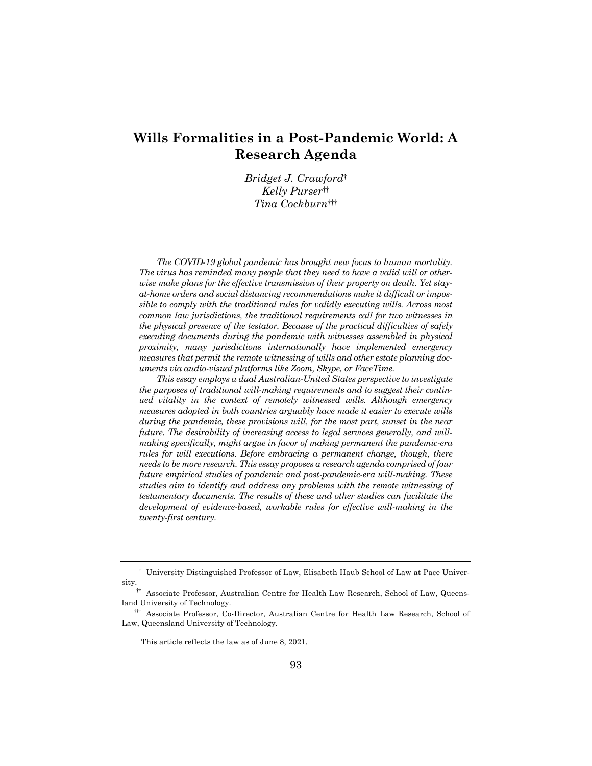## **Wills Formalities in a Post-Pandemic World: A Research Agenda**

*Bridget J. Crawford*† *Kelly Purser*†† *Tina Cockburn*†††

*The COVID-19 global pandemic has brought new focus to human mortality. The virus has reminded many people that they need to have a valid will or otherwise make plans for the effective transmission of their property on death. Yet stayat-home orders and social distancing recommendations make it difficult or impossible to comply with the traditional rules for validly executing wills. Across most common law jurisdictions, the traditional requirements call for two witnesses in the physical presence of the testator. Because of the practical difficulties of safely executing documents during the pandemic with witnesses assembled in physical proximity, many jurisdictions internationally have implemented emergency measures that permit the remote witnessing of wills and other estate planning documents via audio-visual platforms like Zoom, Skype, or FaceTime.*

*This essay employs a dual Australian-United States perspective to investigate the purposes of traditional will-making requirements and to suggest their continued vitality in the context of remotely witnessed wills. Although emergency measures adopted in both countries arguably have made it easier to execute wills during the pandemic, these provisions will, for the most part, sunset in the near future. The desirability of increasing access to legal services generally, and willmaking specifically, might argue in favor of making permanent the pandemic-era rules for will executions. Before embracing a permanent change, though, there needs to be more research. This essay proposes a research agenda comprised of four future empirical studies of pandemic and post-pandemic-era will-making. These studies aim to identify and address any problems with the remote witnessing of testamentary documents. The results of these and other studies can facilitate the development of evidence-based, workable rules for effective will-making in the twenty-first century.*

<sup>†</sup> University Distinguished Professor of Law, Elisabeth Haub School of Law at Pace University.

<sup>††</sup> Associate Professor, Australian Centre for Health Law Research, School of Law, Queensland University of Technology.

<sup>†††</sup> Associate Professor, Co-Director, Australian Centre for Health Law Research, School of Law, Queensland University of Technology.

This article reflects the law as of June 8, 2021.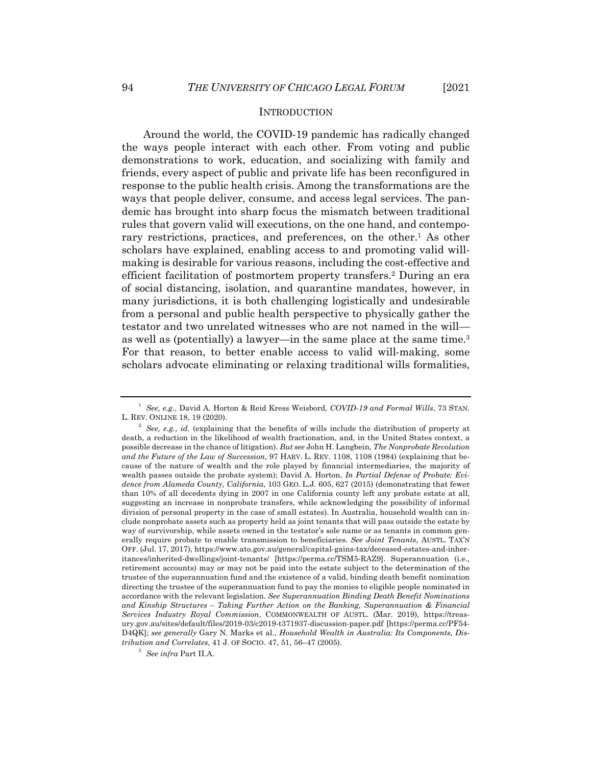Around the world, the COVID-19 pandemic has radically changed the ways people interact with each other. From voting and public demonstrations to work, education, and socializing with family and friends, every aspect of public and private life has been reconfigured in response to the public health crisis. Among the transformations are the ways that people deliver, consume, and access legal services. The pandemic has brought into sharp focus the mismatch between traditional rules that govern valid will executions, on the one hand, and contemporary restrictions, practices, and preferences, on the other.<sup>1</sup> As other scholars have explained, enabling access to and promoting valid willmaking is desirable for various reasons, including the cost-effective and efficient facilitation of postmortem property transfers.2 During an era of social distancing, isolation, and quarantine mandates, however, in many jurisdictions, it is both challenging logistically and undesirable from a personal and public health perspective to physically gather the testator and two unrelated witnesses who are not named in the will as well as (potentially) a lawyer—in the same place at the same time.3 For that reason, to better enable access to valid will-making, some scholars advocate eliminating or relaxing traditional wills formalities,

<sup>1</sup> *See, e.g.*, David A. Horton & Reid Kress Weisbord, *COVID-19 and Formal Wills*, 73 STAN. L. REV. ONLINE 18, 19 (2020).

<sup>2</sup> *See, e.g.*, *id.* (explaining that the benefits of wills include the distribution of property at death, a reduction in the likelihood of wealth fractionation, and, in the United States context, a possible decrease in the chance of litigation). *But see* John H. Langbein, *The Nonprobate Revolution and the Future of the Law of Succession*, 97 HARV. L. REV. 1108, 1108 (1984) (explaining that because of the nature of wealth and the role played by financial intermediaries, the majority of wealth passes outside the probate system); David A. Horton, *In Partial Defense of Probate: Evidence from Alameda County, California*, 103 GEO. L.J. 605, 627 (2015) (demonstrating that fewer than 10% of all decedents dying in 2007 in one California county left any probate estate at all, suggesting an increase in nonprobate transfers, while acknowledging the possibility of informal division of personal property in the case of small estates). In Australia, household wealth can include nonprobate assets such as property held as joint tenants that will pass outside the estate by way of survivorship, while assets owned in the testator's sole name or as tenants in common generally require probate to enable transmission to beneficiaries. *See Joint Tenants*, AUSTL. TAX'N OFF. (Jul. 17, 2017), https://www.ato.gov.au/general/capital-gains-tax/deceased-estates-and-inheritances/inherited-dwellings/joint-tenants/ [https://perma.cc/TSM5-RAZ9]. Superannuation (i.e., retirement accounts) may or may not be paid into the estate subject to the determination of the trustee of the superannuation fund and the existence of a valid, binding death benefit nomination directing the trustee of the superannuation fund to pay the monies to eligible people nominated in accordance with the relevant legislation. *See Superannuation Binding Death Benefit Nominations and Kinship Structures – Taking Further Action on the Banking, Superannuation & Financial Services Industry Royal Commission*, COMMONWEALTH OF AUSTL. (Mar. 2019), https://treasury.gov.au/sites/default/files/2019-03/c2019-t371937-discussion-paper.pdf [https://perma.cc/PF54- D4QK]; *see generally* Gary N. Marks et al., *Household Wealth in Australia: Its Components, Distribution and Correlates*, 41 J. OF SOCIO. 47, 51, 56–47 (2005).

<sup>3</sup> *See infra* Part II.A.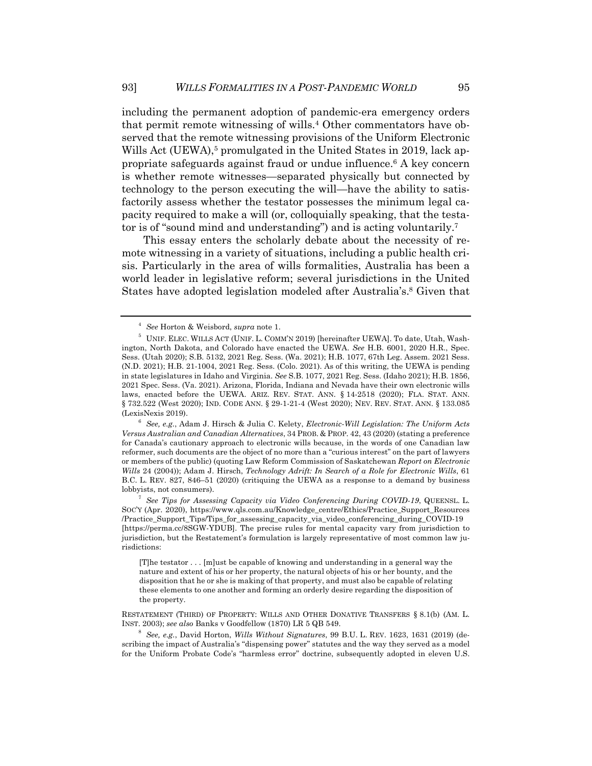including the permanent adoption of pandemic-era emergency orders that permit remote witnessing of wills.4 Other commentators have observed that the remote witnessing provisions of the Uniform Electronic Wills Act (UEWA),<sup>5</sup> promulgated in the United States in 2019, lack appropriate safeguards against fraud or undue influence.6 A key concern is whether remote witnesses—separated physically but connected by technology to the person executing the will—have the ability to satisfactorily assess whether the testator possesses the minimum legal capacity required to make a will (or, colloquially speaking, that the testator is of "sound mind and understanding") and is acting voluntarily.7

This essay enters the scholarly debate about the necessity of remote witnessing in a variety of situations, including a public health crisis. Particularly in the area of wills formalities, Australia has been a world leader in legislative reform; several jurisdictions in the United States have adopted legislation modeled after Australia's.8 Given that

[T]he testator . . . [m]ust be capable of knowing and understanding in a general way the nature and extent of his or her property, the natural objects of his or her bounty, and the disposition that he or she is making of that property, and must also be capable of relating these elements to one another and forming an orderly desire regarding the disposition of the property.

RESTATEMENT (THIRD) OF PROPERTY: WILLS AND OTHER DONATIVE TRANSFERS § 8.1(b) (AM. L. INST. 2003); *see also* Banks v Goodfellow (1870) LR 5 QB 549.

<sup>8</sup> *See, e.g.*, David Horton, *Wills Without Signatures*, 99 B.U. L. REV. 1623, 1631 (2019) (describing the impact of Australia's "dispensing power" statutes and the way they served as a model for the Uniform Probate Code's "harmless error" doctrine, subsequently adopted in eleven U.S.

<sup>4</sup> *See* Horton & Weisbord, *supra* note 1.

<sup>5</sup> UNIF. ELEC. WILLS ACT (UNIF. L. COMM'N 2019) [hereinafter UEWA]. To date, Utah, Washington, North Dakota, and Colorado have enacted the UEWA. *See* H.B. 6001, 2020 H.R., Spec. Sess. (Utah 2020); S.B. 5132, 2021 Reg. Sess. (Wa. 2021); H.B. 1077, 67th Leg. Assem. 2021 Sess. (N.D. 2021); H.B. 21-1004, 2021 Reg. Sess. (Colo. 2021). As of this writing, the UEWA is pending in state legislatures in Idaho and Virginia. *See* S.B. 1077, 2021 Reg. Sess. (Idaho 2021); H.B. 1856, 2021 Spec. Sess. (Va. 2021). Arizona, Florida, Indiana and Nevada have their own electronic wills laws, enacted before the UEWA. ARIZ. REV. STAT. ANN. § 14-2518 (2020); FLA. STAT. ANN. § 732.522 (West 2020); IND. CODE ANN. § 29-1-21-4 (West 2020); NEV. REV. STAT. ANN. § 133.085 (LexisNexis 2019).

<sup>6</sup> *See, e.g.*, Adam J. Hirsch & Julia C. Kelety, *Electronic-Will Legislation: The Uniform Acts Versus Australian and Canadian Alternatives*, 34 PROB. & PROP. 42, 43 (2020) (stating a preference for Canada's cautionary approach to electronic wills because, in the words of one Canadian law reformer, such documents are the object of no more than a "curious interest" on the part of lawyers or members of the public) (quoting Law Reform Commission of Saskatchewan *Report on Electronic Wills* 24 (2004)); Adam J. Hirsch, *Technology Adrift: In Search of a Role for Electronic Wills*, 61 B.C. L. REV. 827, 846–51 (2020) (critiquing the UEWA as a response to a demand by business lobbyists, not consumers).

<sup>7</sup> *See Tips for Assessing Capacity via Video Conferencing During COVID-19*, QUEENSL. L. SOC'Y (Apr. 2020), https://www.qls.com.au/Knowledge\_centre/Ethics/Practice\_Support\_Resources /Practice\_Support\_Tips/Tips\_for\_assessing\_capacity\_via\_video\_conferencing\_during\_COVID-19 [https://perma.cc/8SGW-YDUB]. The precise rules for mental capacity vary from jurisdiction to jurisdiction, but the Restatement's formulation is largely representative of most common law jurisdictions: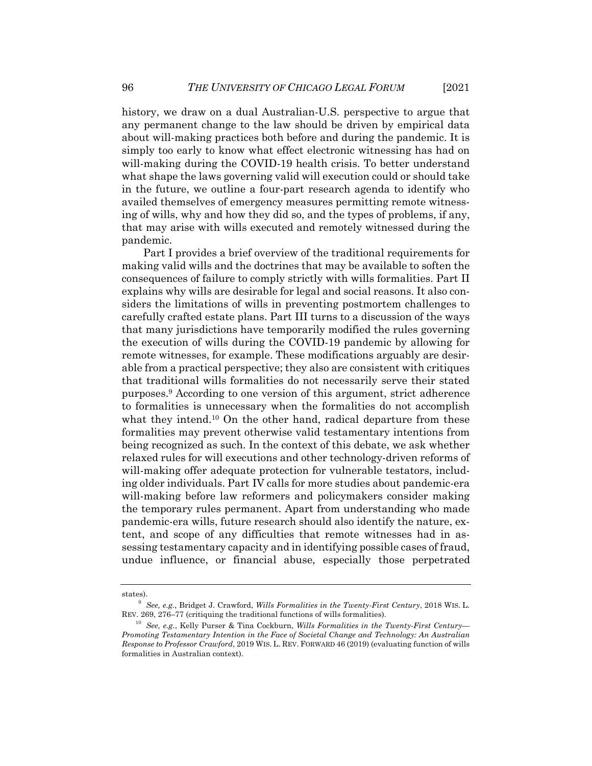history, we draw on a dual Australian-U.S. perspective to argue that any permanent change to the law should be driven by empirical data about will-making practices both before and during the pandemic. It is simply too early to know what effect electronic witnessing has had on will-making during the COVID-19 health crisis. To better understand what shape the laws governing valid will execution could or should take in the future, we outline a four-part research agenda to identify who availed themselves of emergency measures permitting remote witnessing of wills, why and how they did so, and the types of problems, if any, that may arise with wills executed and remotely witnessed during the pandemic.

Part I provides a brief overview of the traditional requirements for making valid wills and the doctrines that may be available to soften the consequences of failure to comply strictly with wills formalities. Part II explains why wills are desirable for legal and social reasons. It also considers the limitations of wills in preventing postmortem challenges to carefully crafted estate plans. Part III turns to a discussion of the ways that many jurisdictions have temporarily modified the rules governing the execution of wills during the COVID-19 pandemic by allowing for remote witnesses, for example. These modifications arguably are desirable from a practical perspective; they also are consistent with critiques that traditional wills formalities do not necessarily serve their stated purposes.9 According to one version of this argument, strict adherence to formalities is unnecessary when the formalities do not accomplish what they intend.<sup>10</sup> On the other hand, radical departure from these formalities may prevent otherwise valid testamentary intentions from being recognized as such. In the context of this debate, we ask whether relaxed rules for will executions and other technology-driven reforms of will-making offer adequate protection for vulnerable testators, including older individuals. Part IV calls for more studies about pandemic-era will-making before law reformers and policymakers consider making the temporary rules permanent. Apart from understanding who made pandemic-era wills, future research should also identify the nature, extent, and scope of any difficulties that remote witnesses had in assessing testamentary capacity and in identifying possible cases of fraud, undue influence, or financial abuse, especially those perpetrated

states).

<sup>9</sup> *See, e.g.*, Bridget J. Crawford, *Wills Formalities in the Twenty-First Century*, 2018 WIS. L. REV. 269, 276–77 (critiquing the traditional functions of wills formalities).

<sup>10</sup> *See, e.g.*, Kelly Purser & Tina Cockburn, *Wills Formalities in the Twenty-First Century— Promoting Testamentary Intention in the Face of Societal Change and Technology: An Australian Response to Professor Crawford*, 2019 WIS. L. REV. FORWARD 46 (2019) (evaluating function of wills formalities in Australian context).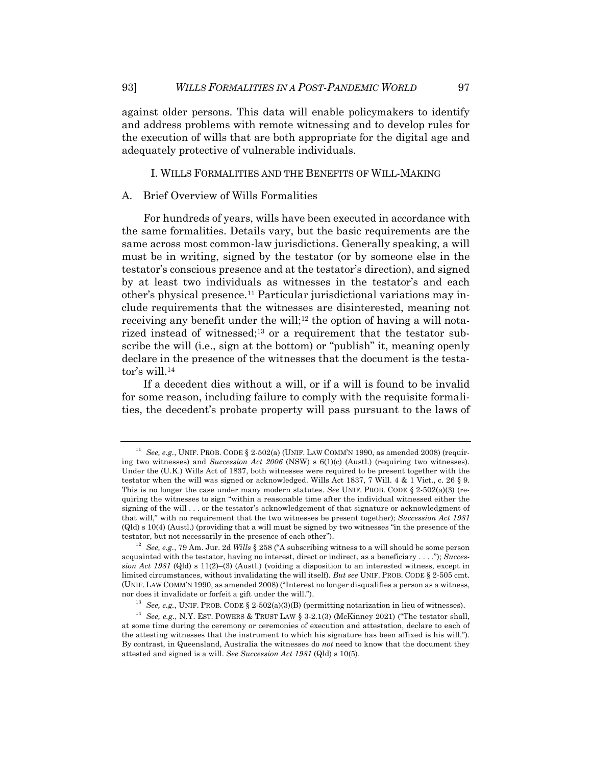against older persons. This data will enable policymakers to identify and address problems with remote witnessing and to develop rules for the execution of wills that are both appropriate for the digital age and adequately protective of vulnerable individuals.

#### I. WILLS FORMALITIES AND THE BENEFITS OF WILL-MAKING

#### A. Brief Overview of Wills Formalities

For hundreds of years, wills have been executed in accordance with the same formalities. Details vary, but the basic requirements are the same across most common-law jurisdictions. Generally speaking, a will must be in writing, signed by the testator (or by someone else in the testator's conscious presence and at the testator's direction), and signed by at least two individuals as witnesses in the testator's and each other's physical presence.11 Particular jurisdictional variations may include requirements that the witnesses are disinterested, meaning not receiving any benefit under the will;<sup>12</sup> the option of having a will notarized instead of witnessed; $13$  or a requirement that the testator subscribe the will (i.e., sign at the bottom) or "publish" it, meaning openly declare in the presence of the witnesses that the document is the testator's will.14

If a decedent dies without a will, or if a will is found to be invalid for some reason, including failure to comply with the requisite formalities, the decedent's probate property will pass pursuant to the laws of

<sup>&</sup>lt;sup>11</sup> *See, e.g.*, UNIF. PROB. CODE § 2-502(a) (UNIF. LAW COMM'N 1990, as amended 2008) (requiring two witnesses) and *Succession Act 2006* (NSW) s 6(1)(c) (Austl.) (requiring two witnesses). Under the (U.K.) Wills Act of 1837, both witnesses were required to be present together with the testator when the will was signed or acknowledged. Wills Act 1837, 7 Will. 4 & 1 Vict., c. 26 § 9. This is no longer the case under many modern statutes. *See* UNIF. PROB. CODE § 2-502(a)(3) (requiring the witnesses to sign "within a reasonable time after the individual witnessed either the signing of the will . . . or the testator's acknowledgement of that signature or acknowledgment of that will," with no requirement that the two witnesses be present together); *Succession Act 1981* (Qld) s 10(4) (Austl.) (providing that a will must be signed by two witnesses "in the presence of the testator, but not necessarily in the presence of each other").

<sup>12</sup> *See, e.g.*, 79 Am. Jur. 2d *Wills* § 258 ("A subscribing witness to a will should be some person acquainted with the testator, having no interest, direct or indirect, as a beneficiary . . . ."); *Succession Act 1981* (Qld) s 11(2)–(3) (Austl.) (voiding a disposition to an interested witness, except in limited circumstances, without invalidating the will itself). *But see* UNIF. PROB. CODE § 2-505 cmt. (UNIF. LAW COMM'N 1990, as amended 2008) ("Interest no longer disqualifies a person as a witness, nor does it invalidate or forfeit a gift under the will.").

<sup>&</sup>lt;sup>13</sup> *See, e.g.*, UNIF. PROB. CODE § 2-502(a)(3)(B) (permitting notarization in lieu of witnesses).

<sup>14</sup> *See, e.g.*, N.Y. EST. POWERS & TRUST LAW § 3-2.1(3) (McKinney 2021) ("The testator shall, at some time during the ceremony or ceremonies of execution and attestation, declare to each of the attesting witnesses that the instrument to which his signature has been affixed is his will."). By contrast, in Queensland, Australia the witnesses do *not* need to know that the document they attested and signed is a will. *See Succession Act 1981* (Qld) s 10(5).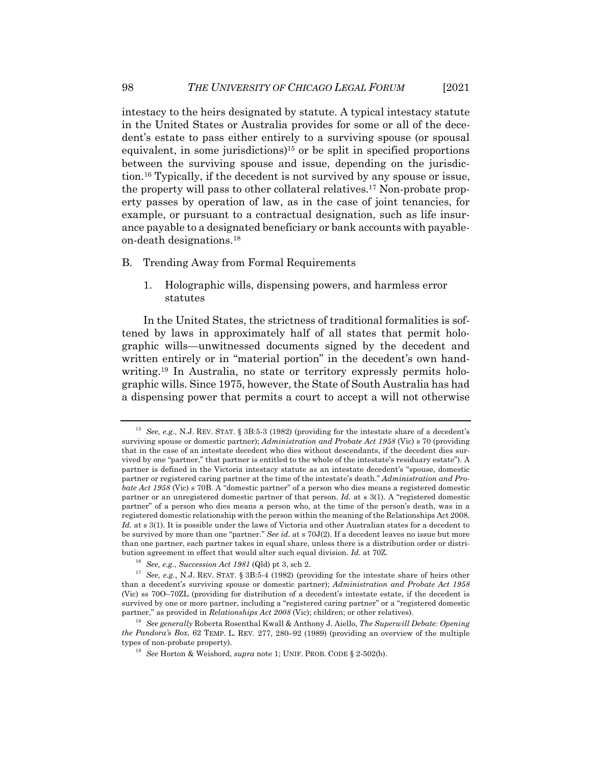intestacy to the heirs designated by statute. A typical intestacy statute in the United States or Australia provides for some or all of the decedent's estate to pass either entirely to a surviving spouse (or spousal equivalent, in some jurisdictions)<sup>15</sup> or be split in specified proportions between the surviving spouse and issue, depending on the jurisdiction.16 Typically, if the decedent is not survived by any spouse or issue, the property will pass to other collateral relatives.17 Non-probate property passes by operation of law, as in the case of joint tenancies, for example, or pursuant to a contractual designation, such as life insurance payable to a designated beneficiary or bank accounts with payableon-death designations.18

- B. Trending Away from Formal Requirements
	- 1. Holographic wills, dispensing powers, and harmless error statutes

In the United States, the strictness of traditional formalities is softened by laws in approximately half of all states that permit holographic wills—unwitnessed documents signed by the decedent and written entirely or in "material portion" in the decedent's own handwriting.<sup>19</sup> In Australia, no state or territory expressly permits holographic wills. Since 1975, however, the State of South Australia has had a dispensing power that permits a court to accept a will not otherwise

<sup>15</sup> *See, e.g.*, N.J. REV. STAT. § 3B:5-3 (1982) (providing for the intestate share of a decedent's surviving spouse or domestic partner); *Administration and Probate Act 1958* (Vic) s 70 (providing that in the case of an intestate decedent who dies without descendants, if the decedent dies survived by one "partner," that partner is entitled to the whole of the intestate's residuary estate"). A partner is defined in the Victoria intestacy statute as an intestate decedent's "spouse, domestic partner or registered caring partner at the time of the intestate's death." *Administration and Probate Act 1958* (Vic) s 70B. A "domestic partner" of a person who dies means a registered domestic partner or an unregistered domestic partner of that person. *Id.* at s 3(1). A "registered domestic partner" of a person who dies means a person who, at the time of the person's death, was in a registered domestic relationship with the person within the meaning of the Relationships Act 2008. Id. at s 3(1). It is possible under the laws of Victoria and other Australian states for a decedent to be survived by more than one "partner." *See id.* at s 70J(2). If a decedent leaves no issue but more than one partner, each partner takes in equal share, unless there is a distribution order or distribution agreement in effect that would alter such equal division. *Id.* at 70Z.

<sup>16</sup> *See, e.g.*, *Succession Act 1981* (Qld) pt 3, sch 2.

<sup>17</sup> *See, e.g.*, N.J. REV. STAT. § 3B:5-4 (1982) (providing for the intestate share of heirs other than a decedent's surviving spouse or domestic partner); *Administration and Probate Act 1958* (Vic) ss 70O–70ZL (providing for distribution of a decedent's intestate estate, if the decedent is survived by one or more partner, including a "registered caring partner" or a "registered domestic partner," as provided in *Relationships Act 2008* (Vic); children; or other relatives).

<sup>18</sup> *See generally* Roberta Rosenthal Kwall & Anthony J. Aiello, *The Superwill Debate: Opening the Pandora's Box*, 62 TEMP. L. REV. 277, 280–92 (1989) (providing an overview of the multiple types of non-probate property).

<sup>19</sup> *See* Horton & Weisbord, *supra* note 1; UNIF. PROB. CODE § 2-502(b).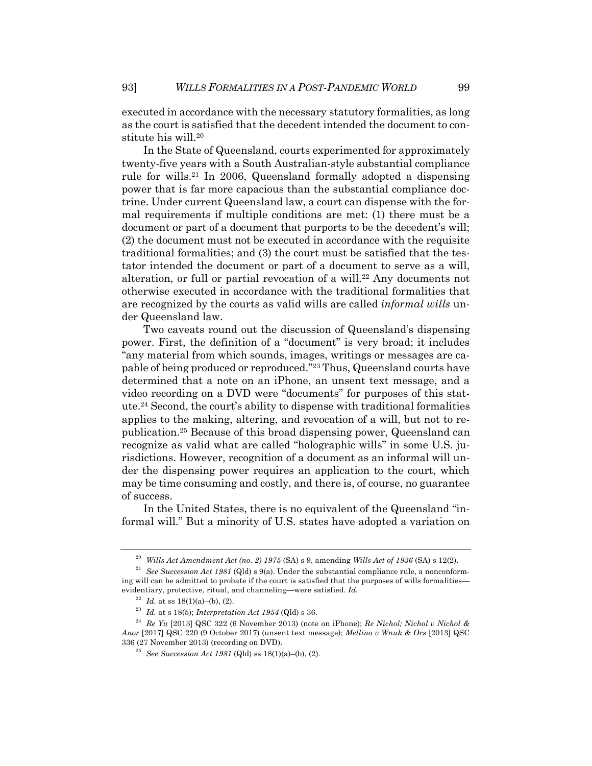executed in accordance with the necessary statutory formalities, as long as the court is satisfied that the decedent intended the document to constitute his will.20

In the State of Queensland, courts experimented for approximately twenty-five years with a South Australian-style substantial compliance rule for wills.21 In 2006, Queensland formally adopted a dispensing power that is far more capacious than the substantial compliance doctrine. Under current Queensland law, a court can dispense with the formal requirements if multiple conditions are met: (1) there must be a document or part of a document that purports to be the decedent's will; (2) the document must not be executed in accordance with the requisite traditional formalities; and (3) the court must be satisfied that the testator intended the document or part of a document to serve as a will, alteration, or full or partial revocation of a will.<sup>22</sup> Any documents not otherwise executed in accordance with the traditional formalities that are recognized by the courts as valid wills are called *informal wills* under Queensland law.

Two caveats round out the discussion of Queensland's dispensing power. First, the definition of a "document" is very broad; it includes "any material from which sounds, images, writings or messages are capable of being produced or reproduced."23 Thus, Queensland courts have determined that a note on an iPhone, an unsent text message, and a video recording on a DVD were "documents" for purposes of this statute.24 Second, the court's ability to dispense with traditional formalities applies to the making, altering, and revocation of a will, but not to republication.25 Because of this broad dispensing power, Queensland can recognize as valid what are called "holographic wills" in some U.S. jurisdictions. However, recognition of a document as an informal will under the dispensing power requires an application to the court, which may be time consuming and costly, and there is, of course, no guarantee of success.

In the United States, there is no equivalent of the Queensland "informal will." But a minority of U.S. states have adopted a variation on

<sup>20</sup> *Wills Act Amendment Act (no. 2) 1975* (SA) s 9, amending *Wills Act of 1936* (SA) s 12(2).

<sup>21</sup> *See Succession Act 1981* (Qld) s 9(a). Under the substantial compliance rule, a nonconforming will can be admitted to probate if the court is satisfied that the purposes of wills formalities evidentiary, protective, ritual, and channeling—were satisfied. *Id.*

<sup>&</sup>lt;sup>22</sup> *Id.* at ss 18(1)(a)–(b), (2).

<sup>23</sup> *Id.* at s 18(5); *Interpretation Act 1954* (Qld) s 36.

<sup>24</sup> *Re Yu* [2013] QSC 322 (6 November 2013) (note on iPhone); *Re Nichol; Nichol v Nichol & Anor* [2017] QSC 220 (9 October 2017) (unsent text message); *Mellino v Wnuk & Ors* [2013] QSC 336 (27 November 2013) (recording on DVD).

<sup>25</sup> *See Succession Act 1981* (Qld) ss 18(1)(a)–(b), (2).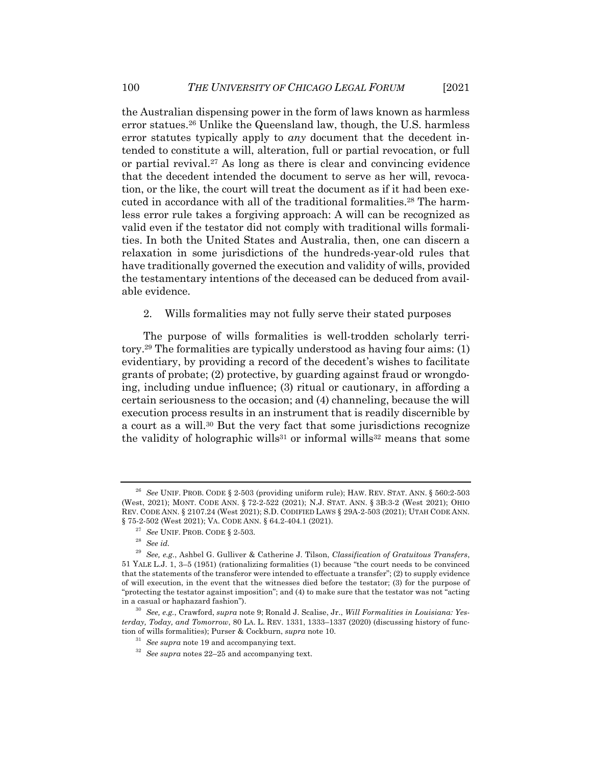the Australian dispensing power in the form of laws known as harmless error statues.<sup>26</sup> Unlike the Queensland law, though, the U.S. harmless error statutes typically apply to *any* document that the decedent intended to constitute a will, alteration, full or partial revocation, or full or partial revival.27 As long as there is clear and convincing evidence that the decedent intended the document to serve as her will, revocation, or the like, the court will treat the document as if it had been executed in accordance with all of the traditional formalities.<sup>28</sup> The harmless error rule takes a forgiving approach: A will can be recognized as valid even if the testator did not comply with traditional wills formalities. In both the United States and Australia, then, one can discern a relaxation in some jurisdictions of the hundreds-year-old rules that have traditionally governed the execution and validity of wills, provided the testamentary intentions of the deceased can be deduced from available evidence.

## 2. Wills formalities may not fully serve their stated purposes

The purpose of wills formalities is well-trodden scholarly territory.29 The formalities are typically understood as having four aims: (1) evidentiary, by providing a record of the decedent's wishes to facilitate grants of probate; (2) protective, by guarding against fraud or wrongdoing, including undue influence; (3) ritual or cautionary, in affording a certain seriousness to the occasion; and (4) channeling, because the will execution process results in an instrument that is readily discernible by a court as a will.30 But the very fact that some jurisdictions recognize the validity of holographic wills<sup>31</sup> or informal wills<sup>32</sup> means that some

<sup>26</sup> *See* UNIF. PROB. CODE § 2-503 (providing uniform rule); HAW. REV. STAT. ANN. § 560:2-503 (West, 2021); MONT. CODE ANN. § 72-2-522 (2021); N.J. STAT. ANN. § 3B:3-2 (West 2021); OHIO REV. CODE ANN. § 2107.24 (West 2021); S.D. CODIFIED LAWS § 29A-2-503 (2021); UTAH CODE ANN. § 75-2-502 (West 2021); VA. CODE ANN. § 64.2-404.1 (2021).

<sup>27</sup> *See* UNIF. PROB. CODE § 2-503.

<sup>28</sup> *See id.*

<sup>29</sup> *See, e.g.*, Ashbel G. Gulliver & Catherine J. Tilson, *Classification of Gratuitous Transfers*, 51 YALE L.J. 1, 3–5 (1951) (rationalizing formalities (1) because "the court needs to be convinced that the statements of the transferor were intended to effectuate a transfer"; (2) to supply evidence of will execution, in the event that the witnesses died before the testator; (3) for the purpose of "protecting the testator against imposition"; and (4) to make sure that the testator was not "acting in a casual or haphazard fashion").

<sup>30</sup> *See, e.g.*, Crawford, *supra* note 9; Ronald J. Scalise, Jr., *Will Formalities in Louisiana: Yesterday, Today, and Tomorrow*, 80 LA. L. REV. 1331, 1333–1337 (2020) (discussing history of function of wills formalities); Purser & Cockburn, *supra* note 10.

<sup>31</sup> *See supra* note 19 and accompanying text.

<sup>32</sup> *See supra* notes 22–25 and accompanying text.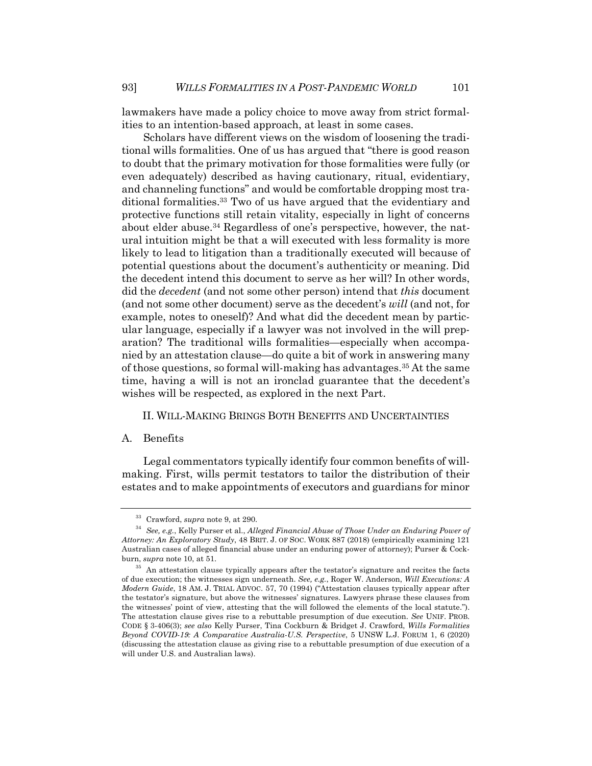lawmakers have made a policy choice to move away from strict formalities to an intention-based approach, at least in some cases.

Scholars have different views on the wisdom of loosening the traditional wills formalities. One of us has argued that "there is good reason to doubt that the primary motivation for those formalities were fully (or even adequately) described as having cautionary, ritual, evidentiary, and channeling functions" and would be comfortable dropping most traditional formalities.33 Two of us have argued that the evidentiary and protective functions still retain vitality, especially in light of concerns about elder abuse.<sup>34</sup> Regardless of one's perspective, however, the natural intuition might be that a will executed with less formality is more likely to lead to litigation than a traditionally executed will because of potential questions about the document's authenticity or meaning. Did the decedent intend this document to serve as her will? In other words, did the *decedent* (and not some other person) intend that *this* document (and not some other document) serve as the decedent's *will* (and not, for example, notes to oneself)? And what did the decedent mean by particular language, especially if a lawyer was not involved in the will preparation? The traditional wills formalities—especially when accompanied by an attestation clause—do quite a bit of work in answering many of those questions, so formal will-making has advantages.35 At the same time, having a will is not an ironclad guarantee that the decedent's wishes will be respected, as explored in the next Part.

### II. WILL-MAKING BRINGS BOTH BENEFITS AND UNCERTAINTIES

#### A. Benefits

Legal commentators typically identify four common benefits of willmaking. First, wills permit testators to tailor the distribution of their estates and to make appointments of executors and guardians for minor

<sup>33</sup> Crawford, *supra* note 9, at 290.

<sup>34</sup> *See, e.g.*, Kelly Purser et al., *Alleged Financial Abuse of Those Under an Enduring Power of Attorney: An Exploratory Study*, 48 BRIT. J. OF SOC. WORK 887 (2018) (empirically examining 121 Australian cases of alleged financial abuse under an enduring power of attorney); Purser & Cockburn, *supra* note 10, at 51.

<sup>&</sup>lt;sup>35</sup> An attestation clause typically appears after the testator's signature and recites the facts of due execution; the witnesses sign underneath. *See, e.g.*, Roger W. Anderson, *Will Executions: A Modern Guide*, 18 AM. J. TRIAL ADVOC. 57, 70 (1994) ("Attestation clauses typically appear after the testator's signature, but above the witnesses' signatures. Lawyers phrase these clauses from the witnesses' point of view, attesting that the will followed the elements of the local statute."). The attestation clause gives rise to a rebuttable presumption of due execution. *See* UNIF. PROB. CODE § 3-406(3); *see also* Kelly Purser, Tina Cockburn & Bridget J. Crawford, *Wills Formalities Beyond COVID-19: A Comparative Australia-U.S. Perspective*, 5 UNSW L.J. FORUM 1, 6 (2020) (discussing the attestation clause as giving rise to a rebuttable presumption of due execution of a will under U.S. and Australian laws).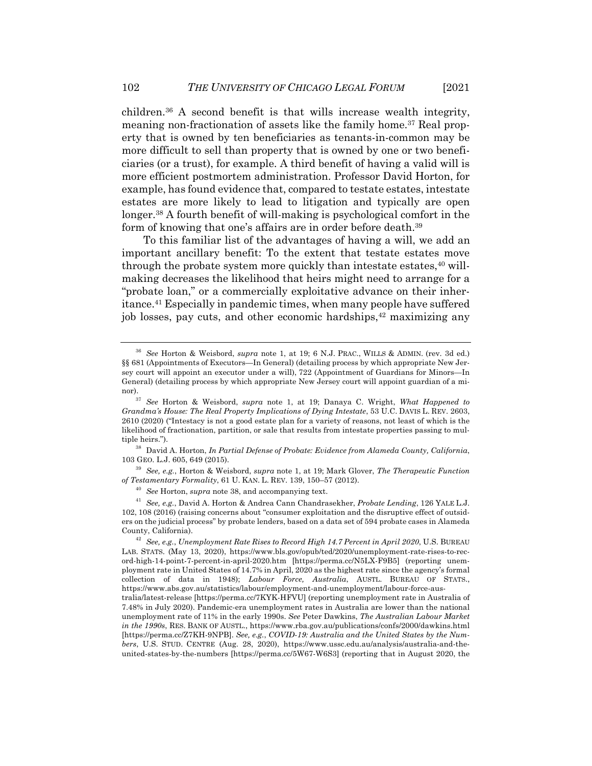children.36 A second benefit is that wills increase wealth integrity, meaning non-fractionation of assets like the family home.<sup>37</sup> Real property that is owned by ten beneficiaries as tenants-in-common may be more difficult to sell than property that is owned by one or two beneficiaries (or a trust), for example. A third benefit of having a valid will is more efficient postmortem administration. Professor David Horton, for example, has found evidence that, compared to testate estates, intestate estates are more likely to lead to litigation and typically are open longer.38 A fourth benefit of will-making is psychological comfort in the form of knowing that one's affairs are in order before death.<sup>39</sup>

To this familiar list of the advantages of having a will, we add an important ancillary benefit: To the extent that testate estates move through the probate system more quickly than intestate estates,  $40$  willmaking decreases the likelihood that heirs might need to arrange for a "probate loan," or a commercially exploitative advance on their inheritance.41 Especially in pandemic times, when many people have suffered job losses, pay cuts, and other economic hardships,<sup>42</sup> maximizing any

<sup>38</sup> David A. Horton, *In Partial Defense of Probate: Evidence from Alameda County, California*, 103 GEO. L.J. 605, 649 (2015).

<sup>39</sup> *See, e.g.*, Horton & Weisbord, *supra* note 1, at 19; Mark Glover, *The Therapeutic Function of Testamentary Formality*, 61 U. KAN. L. REV. 139, 150–57 (2012).

<sup>40</sup> *See* Horton, *supra* note 38, and accompanying text.

<sup>36</sup> *See* Horton & Weisbord, *supra* note 1, at 19; 6 N.J. PRAC., WILLS & ADMIN. (rev. 3d ed.) §§ 681 (Appointments of Executors—In General) (detailing process by which appropriate New Jersey court will appoint an executor under a will), 722 (Appointment of Guardians for Minors—In General) (detailing process by which appropriate New Jersey court will appoint guardian of a mi-

nor).37 *See* Horton & Weisbord, *supra* note 1, at 19; Danaya C. Wright, *What Happened to Grandma's House: The Real Property Implications of Dying Intestate*, 53 U.C. DAVIS L. REV. 2603, 2610 (2020) ("Intestacy is not a good estate plan for a variety of reasons, not least of which is the likelihood of fractionation, partition, or sale that results from intestate properties passing to multiple heirs.").

<sup>41</sup> *See, e.g.*, David A. Horton & Andrea Cann Chandrasekher, *Probate Lending*, 126 YALE L.J. 102, 108 (2016) (raising concerns about "consumer exploitation and the disruptive effect of outsiders on the judicial process" by probate lenders, based on a data set of 594 probate cases in Alameda County, California).

<sup>42</sup> *See, e.g.*, *Unemployment Rate Rises to Record High 14.7 Percent in April 2020*, U.S. BUREAU LAB. STATS. (May 13, 2020), https://www.bls.gov/opub/ted/2020/unemployment-rate-rises-to-record-high-14-point-7-percent-in-april-2020.htm [https://perma.cc/N5LX-F9B5] (reporting unemployment rate in United States of 14.7% in April, 2020 as the highest rate since the agency's formal collection of data in 1948); *Labour Force, Australia*, AUSTL. BUREAU OF STATS., https://www.abs.gov.au/statistics/labour/employment-and-unemployment/labour-force-aus-

tralia/latest-release [https://perma.cc/7KYK-HFVU] (reporting unemployment rate in Australia of 7.48% in July 2020). Pandemic-era unemployment rates in Australia are lower than the national unemployment rate of 11% in the early 1990s. *See* Peter Dawkins, *The Australian Labour Market in the 1990s*, RES. BANK OF AUSTL., https://www.rba.gov.au/publications/confs/2000/dawkins.html [https://perma.cc/Z7KH-9NPB]. *See, e.g.*, *COVID-19: Australia and the United States by the Numbers*, U.S. STUD. CENTRE (Aug. 28, 2020), https://www.ussc.edu.au/analysis/australia-and-theunited-states-by-the-numbers [https://perma.cc/5W67-W6S3] (reporting that in August 2020, the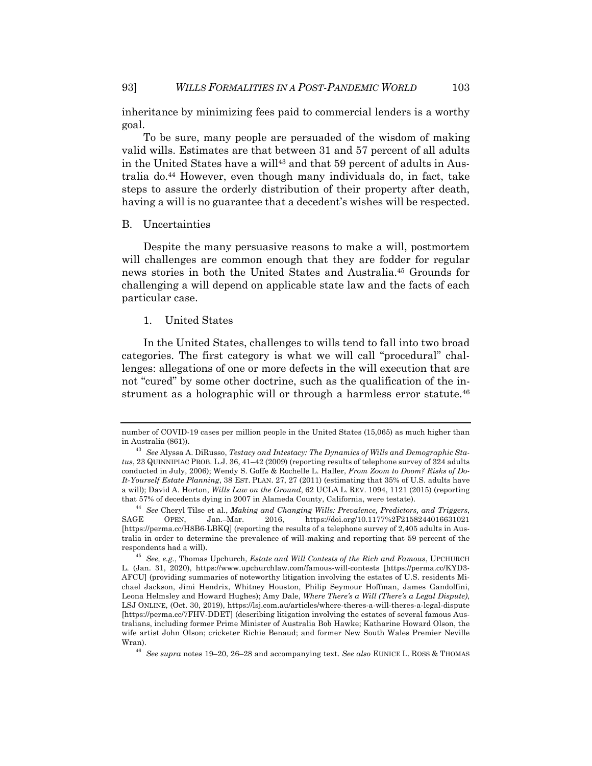inheritance by minimizing fees paid to commercial lenders is a worthy goal.

To be sure, many people are persuaded of the wisdom of making valid wills. Estimates are that between 31 and 57 percent of all adults in the United States have a will<sup>43</sup> and that 59 percent of adults in Australia do.44 However, even though many individuals do, in fact, take steps to assure the orderly distribution of their property after death, having a will is no guarantee that a decedent's wishes will be respected.

#### B. Uncertainties

Despite the many persuasive reasons to make a will, postmortem will challenges are common enough that they are fodder for regular news stories in both the United States and Australia.45 Grounds for challenging a will depend on applicable state law and the facts of each particular case.

#### 1. United States

In the United States, challenges to wills tend to fall into two broad categories. The first category is what we will call "procedural" challenges: allegations of one or more defects in the will execution that are not "cured" by some other doctrine, such as the qualification of the instrument as a holographic will or through a harmless error statute.<sup>46</sup>

number of COVID-19 cases per million people in the United States (15,065) as much higher than in Australia (861)).

<sup>43</sup> *See* Alyssa A. DiRusso, *Testacy and Intestacy: The Dynamics of Wills and Demographic Status*, 23 QUINNIPIAC PROB. L.J. 36, 41–42 (2009) (reporting results of telephone survey of 324 adults conducted in July, 2006); Wendy S. Goffe & Rochelle L. Haller, *From Zoom to Doom? Risks of Do-It-Yourself Estate Planning*, 38 EST. PLAN. 27, 27 (2011) (estimating that 35% of U.S. adults have a will); David A. Horton, *Wills Law on the Ground*, 62 UCLA L. REV. 1094, 1121 (2015) (reporting that 57% of decedents dying in 2007 in Alameda County, California, were testate).

<sup>44</sup> *See* Cheryl Tilse et al., *Making and Changing Wills: Prevalence, Predictors, and Triggers*, SAGE OPEN, Jan.–Mar. 2016, https://doi.org/10.1177%2F2158244016631021 [https://perma.cc/H8B6-LBKQ] (reporting the results of a telephone survey of 2,405 adults in Australia in order to determine the prevalence of will-making and reporting that 59 percent of the respondents had a will).

<sup>45</sup> *See, e.g.*, Thomas Upchurch, *Estate and Will Contests of the Rich and Famous*, UPCHURCH L. (Jan. 31, 2020), https://www.upchurchlaw.com/famous-will-contests [https://perma.cc/KYD3- AFCU] (providing summaries of noteworthy litigation involving the estates of U.S. residents Michael Jackson, Jimi Hendrix, Whitney Houston, Philip Seymour Hoffman, James Gandolfini, Leona Helmsley and Howard Hughes); Amy Dale, *Where There's a Will (There's a Legal Dispute)*, LSJ ONLINE, (Oct. 30, 2019), https://lsj.com.au/articles/where-theres-a-will-theres-a-legal-dispute [https://perma.cc/7FHV-DDET] (describing litigation involving the estates of several famous Australians, including former Prime Minister of Australia Bob Hawke; Katharine Howard Olson, the wife artist John Olson; cricketer Richie Benaud; and former New South Wales Premier Neville Wran).

<sup>46</sup> *See supra* notes 19–20, 26–28 and accompanying text. *See also* EUNICE L. ROSS & THOMAS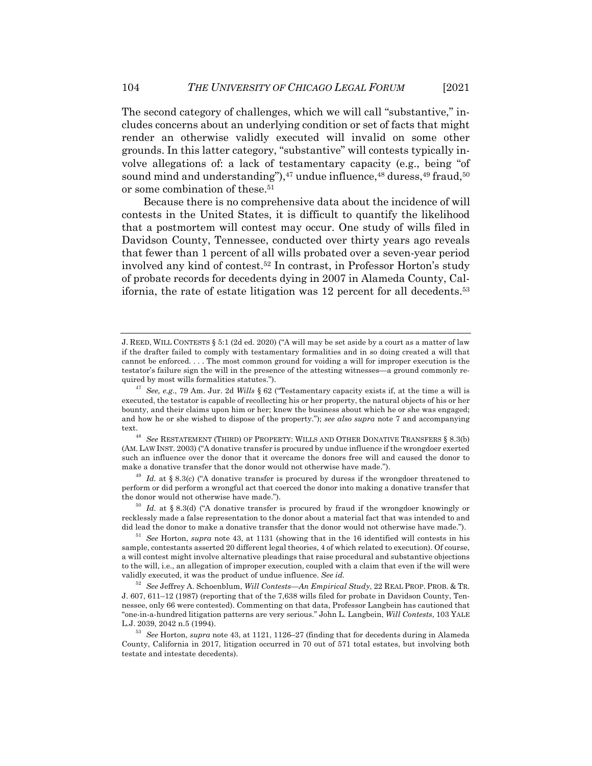The second category of challenges, which we will call "substantive," includes concerns about an underlying condition or set of facts that might render an otherwise validly executed will invalid on some other grounds. In this latter category, "substantive" will contests typically involve allegations of: a lack of testamentary capacity (e.g., being "of sound mind and understanding"),<sup>47</sup> undue influence,<sup>48</sup> duress,<sup>49</sup> fraud,<sup>50</sup> or some combination of these.51

Because there is no comprehensive data about the incidence of will contests in the United States, it is difficult to quantify the likelihood that a postmortem will contest may occur. One study of wills filed in Davidson County, Tennessee, conducted over thirty years ago reveals that fewer than 1 percent of all wills probated over a seven-year period involved any kind of contest.52 In contrast, in Professor Horton's study of probate records for decedents dying in 2007 in Alameda County, California, the rate of estate litigation was 12 percent for all decedents.53

 $^{49}$  *Id.* at § 8.3(c) ("A donative transfer is procured by duress if the wrongdoer threatened to perform or did perform a wrongful act that coerced the donor into making a donative transfer that the donor would not otherwise have made.").

<sup>50</sup> *Id.* at § 8.3(d) ("A donative transfer is procured by fraud if the wrongdoer knowingly or recklessly made a false representation to the donor about a material fact that was intended to and did lead the donor to make a donative transfer that the donor would not otherwise have made.").

<sup>51</sup> *See* Horton, *supra* note 43, at 1131 (showing that in the 16 identified will contests in his sample, contestants asserted 20 different legal theories, 4 of which related to execution). Of course, a will contest might involve alternative pleadings that raise procedural and substantive objections to the will, i.e., an allegation of improper execution, coupled with a claim that even if the will were validly executed, it was the product of undue influence. *See id.*

<sup>52</sup> *See* Jeffrey A. Schoenblum, *Will Contests—An Empirical Study*, 22 REAL PROP. PROB. & TR. J. 607, 611–12 (1987) (reporting that of the 7,638 wills filed for probate in Davidson County, Tennessee, only 66 were contested). Commenting on that data, Professor Langbein has cautioned that "one-in-a-hundred litigation patterns are very serious." John L. Langbein, *Will Contests*, 103 YALE L.J. 2039, 2042 n.5 (1994).

J. REED, WILL CONTESTS § 5:1 (2d ed. 2020) ("A will may be set aside by a court as a matter of law if the drafter failed to comply with testamentary formalities and in so doing created a will that cannot be enforced. . . . The most common ground for voiding a will for improper execution is the testator's failure sign the will in the presence of the attesting witnesses—a ground commonly required by most wills formalities statutes.").

<sup>47</sup> *See, e.g.*, 79 Am. Jur. 2d *Wills* § 62 ("Testamentary capacity exists if, at the time a will is executed, the testator is capable of recollecting his or her property, the natural objects of his or her bounty, and their claims upon him or her; knew the business about which he or she was engaged; and how he or she wished to dispose of the property."); *see also supra* note 7 and accompanying text.<br><sup>48</sup> *See* RESTATEMENT (THIRD) OF PROPERTY: WILLS AND OTHER DONATIVE TRANSFERS § 8.3(b)

<sup>(</sup>AM. LAW INST. 2003) ("A donative transfer is procured by undue influence if the wrongdoer exerted such an influence over the donor that it overcame the donors free will and caused the donor to make a donative transfer that the donor would not otherwise have made.").

<sup>53</sup> *See* Horton, *supra* note 43, at 1121, 1126–27 (finding that for decedents during in Alameda County, California in 2017, litigation occurred in 70 out of 571 total estates, but involving both testate and intestate decedents).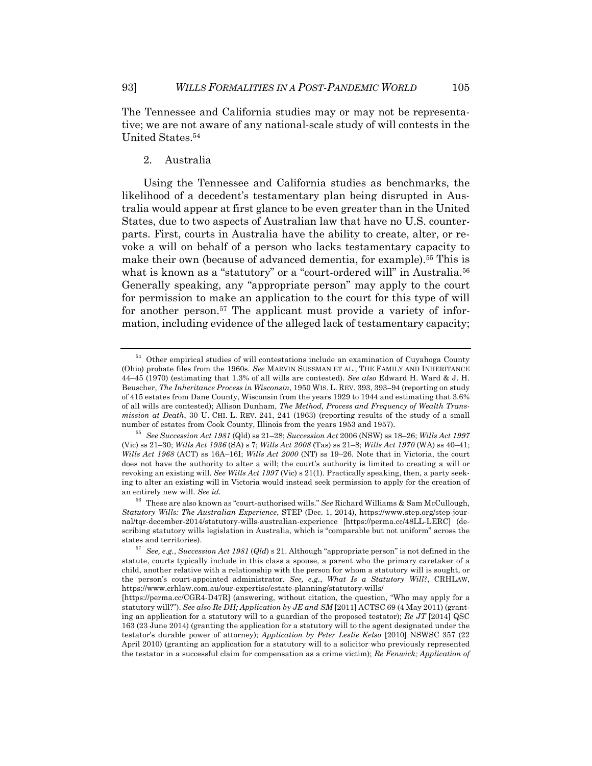The Tennessee and California studies may or may not be representative; we are not aware of any national-scale study of will contests in the United States.54

#### 2. Australia

Using the Tennessee and California studies as benchmarks, the likelihood of a decedent's testamentary plan being disrupted in Australia would appear at first glance to be even greater than in the United States, due to two aspects of Australian law that have no U.S. counterparts. First, courts in Australia have the ability to create, alter, or revoke a will on behalf of a person who lacks testamentary capacity to make their own (because of advanced dementia, for example).55 This is what is known as a "statutory" or a "court-ordered will" in Australia.<sup>56</sup> Generally speaking, any "appropriate person" may apply to the court for permission to make an application to the court for this type of will for another person.<sup>57</sup> The applicant must provide a variety of information, including evidence of the alleged lack of testamentary capacity;

<sup>54</sup> Other empirical studies of will contestations include an examination of Cuyahoga County (Ohio) probate files from the 1960s. *See* MARVIN SUSSMAN ET AL., THE FAMILY AND INHERITANCE 44–45 (1970) (estimating that 1.3% of all wills are contested). *See also* Edward H. Ward & J. H. Beuscher, *The Inheritance Process in Wisconsin*, 1950 WIS. L. REV. 393, 393–94 (reporting on study of 415 estates from Dane County, Wisconsin from the years 1929 to 1944 and estimating that 3.6% of all wills are contested); Allison Dunham, *The Method, Process and Frequency of Wealth Transmission at Death*, 30 U. CHI. L. REV. 241, 241 (1963) (reporting results of the study of a small number of estates from Cook County, Illinois from the years 1953 and 1957).

<sup>55</sup> *See Succession Act 1981* (Qld) ss 21–28; *Succession Act* 2006 (NSW) ss 18–26; *Wills Act 1997* (Vic) ss 21–30; *Wills Act 1936* (SA) s 7; *Wills Act 2008* (Tas) ss 21–8; *Wills Act 1970* (WA) ss 40–41; *Wills Act 1968* (ACT) ss 16A–16I; *Wills Act 2000* (NT) ss 19–26. Note that in Victoria, the court does not have the authority to alter a will; the court's authority is limited to creating a will or revoking an existing will. *See Wills Act 1997* (Vic) s 21(1). Practically speaking, then, a party seeking to alter an existing will in Victoria would instead seek permission to apply for the creation of an entirely new will. *See id.*

<sup>56</sup> These are also known as "court-authorised wills." *See* Richard Williams & Sam McCullough, *Statutory Wills: The Australian Experience*, STEP (Dec. 1, 2014), https://www.step.org/step-journal/tqr-december-2014/statutory-wills-australian-experience [https://perma.cc/48LL-LERC] (describing statutory wills legislation in Australia, which is "comparable but not uniform" across the states and territories).

<sup>57</sup> *See, e.g.*, *Succession Act 1981* (*Qld*) s 21. Although "appropriate person" is not defined in the statute, courts typically include in this class a spouse, a parent who the primary caretaker of a child, another relative with a relationship with the person for whom a statutory will is sought, or the person's court-appointed administrator. *See, e.g.*, *What Is a Statutory Will?*, CRHLAW, https://www.crhlaw.com.au/our-expertise/estate-planning/statutory-wills/

<sup>[</sup>https://perma.cc/CGR4-D47R] (answering, without citation, the question, "Who may apply for a statutory will?"). *See also Re DH; Application by JE and SM* [2011] ACTSC 69 (4 May 2011) (granting an application for a statutory will to a guardian of the proposed testator); *Re JT* [2014] QSC 163 (23 June 2014) (granting the application for a statutory will to the agent designated under the testator's durable power of attorney); *Application by Peter Leslie Kelso* [2010] NSWSC 357 (22 April 2010) (granting an application for a statutory will to a solicitor who previously represented the testator in a successful claim for compensation as a crime victim); *Re Fenwick; Application of*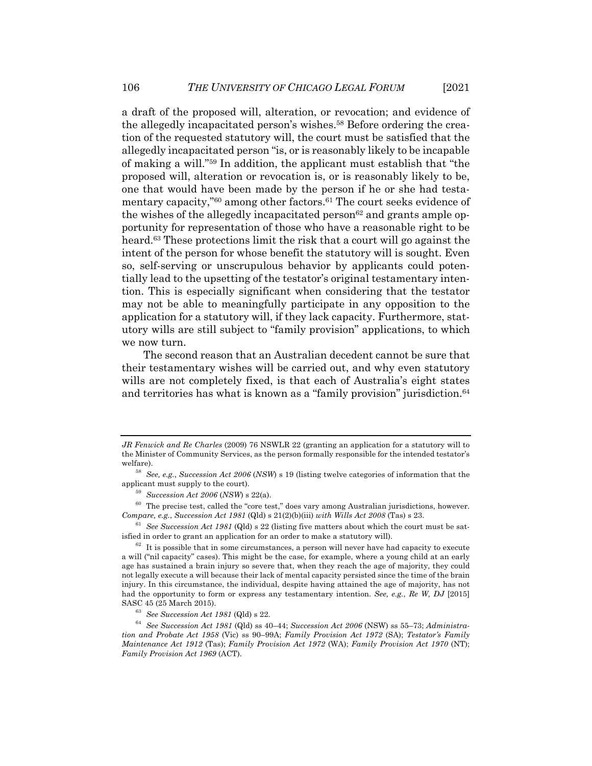a draft of the proposed will, alteration, or revocation; and evidence of the allegedly incapacitated person's wishes.<sup>58</sup> Before ordering the creation of the requested statutory will, the court must be satisfied that the allegedly incapacitated person "is, or is reasonably likely to be incapable of making a will."59 In addition, the applicant must establish that "the proposed will, alteration or revocation is, or is reasonably likely to be, one that would have been made by the person if he or she had testamentary capacity,"<sup>60</sup> among other factors.<sup>61</sup> The court seeks evidence of the wishes of the allegedly incapacitated person<sup>62</sup> and grants ample opportunity for representation of those who have a reasonable right to be heard.63 These protections limit the risk that a court will go against the intent of the person for whose benefit the statutory will is sought. Even so, self-serving or unscrupulous behavior by applicants could potentially lead to the upsetting of the testator's original testamentary intention. This is especially significant when considering that the testator may not be able to meaningfully participate in any opposition to the application for a statutory will, if they lack capacity. Furthermore, statutory wills are still subject to "family provision" applications, to which we now turn.

The second reason that an Australian decedent cannot be sure that their testamentary wishes will be carried out, and why even statutory wills are not completely fixed, is that each of Australia's eight states and territories has what is known as a "family provision" jurisdiction.<sup>64</sup>

*JR Fenwick and Re Charles* (2009) 76 NSWLR 22 (granting an application for a statutory will to the Minister of Community Services, as the person formally responsible for the intended testator's welfare).

<sup>58</sup> *See, e.g.*, *Succession Act 2006* (*NSW*) s 19 (listing twelve categories of information that the applicant must supply to the court).

<sup>59</sup> *Succession Act 2006* (*NSW*) s 22(a).

 $60$  The precise test, called the "core test," does vary among Australian jurisdictions, however. *Compare, e.g.*, *Succession Act 1981* (Qld) s 21(2)(b)(iii) *with Wills Act 2008* (Tas) s 23.

<sup>61</sup> *See Succession Act 1981* (Qld) s 22 (listing five matters about which the court must be satisfied in order to grant an application for an order to make a statutory will).

 $62$  It is possible that in some circumstances, a person will never have had capacity to execute a will ("nil capacity" cases). This might be the case, for example, where a young child at an early age has sustained a brain injury so severe that, when they reach the age of majority, they could not legally execute a will because their lack of mental capacity persisted since the time of the brain injury. In this circumstance, the individual, despite having attained the age of majority, has not had the opportunity to form or express any testamentary intention. *See, e.g.*, *Re W, DJ* [2015] SASC 45 (25 March 2015).

<sup>63</sup> *See Succession Act 1981* (Qld) s 22.

<sup>64</sup> *See Succession Act 1981* (Qld) ss 40–44; *Succession Act 2006* (NSW) ss 55–73; *Administration and Probate Act 1958* (Vic) ss 90–99A; *Family Provision Act 1972* (SA); *Testator's Family Maintenance Act 1912* (Tas); *Family Provision Act 1972* (WA); *Family Provision Act 1970* (NT); *Family Provision Act 1969* (ACT).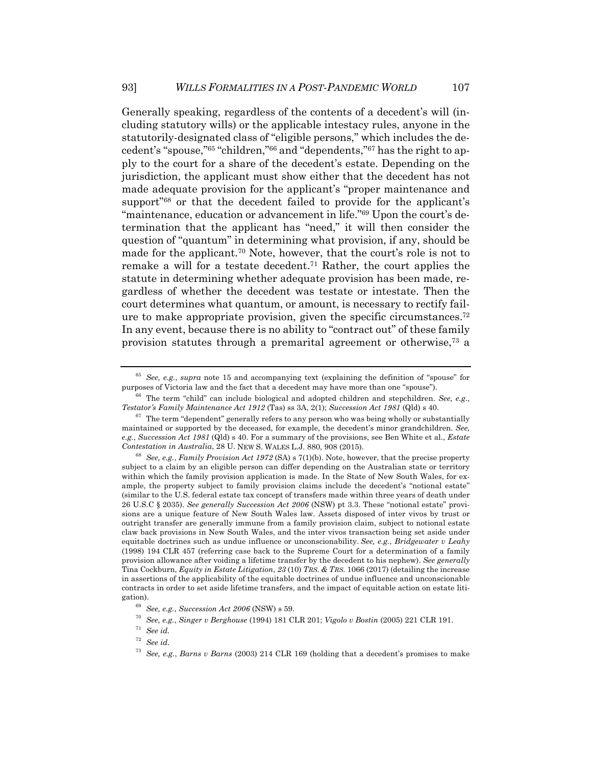Generally speaking, regardless of the contents of a decedent's will (including statutory wills) or the applicable intestacy rules, anyone in the statutorily-designated class of "eligible persons," which includes the decedent's "spouse,"65 "children,"66 and "dependents,"67 has the right to apply to the court for a share of the decedent's estate. Depending on the jurisdiction, the applicant must show either that the decedent has not made adequate provision for the applicant's "proper maintenance and support"<sup>68</sup> or that the decedent failed to provide for the applicant's "maintenance, education or advancement in life."<sup>69</sup> Upon the court's determination that the applicant has "need," it will then consider the question of "quantum" in determining what provision, if any, should be made for the applicant.70 Note, however, that the court's role is not to remake a will for a testate decedent.71 Rather, the court applies the statute in determining whether adequate provision has been made, regardless of whether the decedent was testate or intestate. Then the court determines what quantum, or amount, is necessary to rectify failure to make appropriate provision, given the specific circumstances.<sup> $72$ </sup> In any event, because there is no ability to "contract out" of these family provision statutes through a premarital agreement or otherwise,73 a

<sup>65</sup> *See, e.g.*, *supra* note 15 and accompanying text (explaining the definition of "spouse" for purposes of Victoria law and the fact that a decedent may have more than one "spouse").

<sup>66</sup> The term "child" can include biological and adopted children and stepchildren. *See, e.g.*, *Testator's Family Maintenance Act 1912* (Tas) ss 3A, 2(1); *Succession Act 1981* (Qld) s 40.

 $67$  The term "dependent" generally refers to any person who was being wholly or substantially maintained or supported by the deceased, for example, the decedent's minor grandchildren. *See, e.g.*, *Succession Act 1981* (Qld) s 40. For a summary of the provisions, see Ben White et al., *Estate Contestation in Australia*, 28 U. NEW S. WALES L.J. 880, 908 (2015).

<sup>68</sup> *See, e.g.*, *Family Provision Act 1972* (SA) s 7(1)(b). Note, however, that the precise property subject to a claim by an eligible person can differ depending on the Australian state or territory within which the family provision application is made. In the State of New South Wales, for example, the property subject to family provision claims include the decedent's "notional estate" (similar to the U.S. federal estate tax concept of transfers made within three years of death under 26 U.S.C § 2035). *See generally Succession Act 2006* (NSW) pt 3.3. These "notional estate" provisions are a unique feature of New South Wales law. Assets disposed of inter vivos by trust or outright transfer are generally immune from a family provision claim, subject to notional estate claw back provisions in New South Wales, and the inter vivos transaction being set aside under equitable doctrines such as undue influence or unconscionability. *See, e.g.*, *Bridgewater v Leahy* (1998) 194 CLR 457 (referring case back to the Supreme Court for a determination of a family provision allowance after voiding a lifetime transfer by the decedent to his nephew). *See generally* Tina Cockburn, *Equity in Estate Litigation*, *23* (10) *TRS. & TRS.* 1066 (2017) (detailing the increase in assertions of the applicability of the equitable doctrines of undue influence and unconscionable contracts in order to set aside lifetime transfers, and the impact of equitable action on estate litigation).

<sup>69</sup> *See, e.g.*, *Succession Act 2006* (NSW) s 59.

<sup>70</sup> *See, e.g.*, *Singer v Berghouse* (1994) 181 CLR 201; *Vigolo v Bostin* (2005) 221 CLR 191.

<sup>71</sup> *See id.*

<sup>72</sup> *See id.*

<sup>73</sup> *See, e.g.*, *Barns v Barns* (2003) 214 CLR 169 (holding that a decedent's promises to make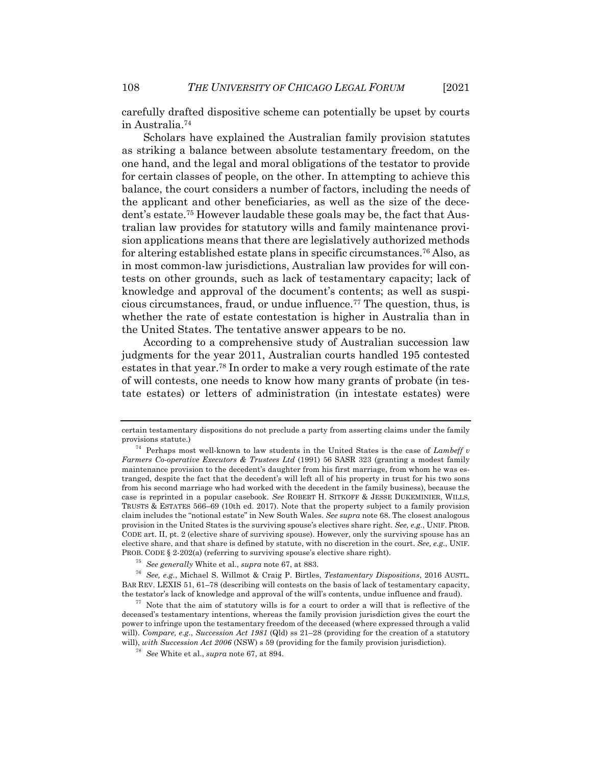carefully drafted dispositive scheme can potentially be upset by courts in Australia.74

Scholars have explained the Australian family provision statutes as striking a balance between absolute testamentary freedom, on the one hand, and the legal and moral obligations of the testator to provide for certain classes of people, on the other. In attempting to achieve this balance, the court considers a number of factors, including the needs of the applicant and other beneficiaries, as well as the size of the decedent's estate.75 However laudable these goals may be, the fact that Australian law provides for statutory wills and family maintenance provision applications means that there are legislatively authorized methods for altering established estate plans in specific circumstances.76 Also, as in most common-law jurisdictions, Australian law provides for will contests on other grounds, such as lack of testamentary capacity; lack of knowledge and approval of the document's contents; as well as suspicious circumstances, fraud, or undue influence.77 The question, thus, is whether the rate of estate contestation is higher in Australia than in the United States. The tentative answer appears to be no.

According to a comprehensive study of Australian succession law judgments for the year 2011, Australian courts handled 195 contested estates in that year.78 In order to make a very rough estimate of the rate of will contests, one needs to know how many grants of probate (in testate estates) or letters of administration (in intestate estates) were

certain testamentary dispositions do not preclude a party from asserting claims under the family provisions statute.)

<sup>74</sup> Perhaps most well-known to law students in the United States is the case of *Lambeff v Farmers Co-operative Executors & Trustees Ltd* (1991) 56 SASR 323 (granting a modest family maintenance provision to the decedent's daughter from his first marriage, from whom he was estranged, despite the fact that the decedent's will left all of his property in trust for his two sons from his second marriage who had worked with the decedent in the family business), because the case is reprinted in a popular casebook. *See* ROBERT H. SITKOFF & JESSE DUKEMINIER, WILLS, TRUSTS & ESTATES 566–69 (10th ed. 2017). Note that the property subject to a family provision claim includes the "notional estate" in New South Wales. *See supra* note 68. The closest analogous provision in the United States is the surviving spouse's electives share right. *See, e.g.*, UNIF. PROB. CODE art. II, pt. 2 (elective share of surviving spouse). However, only the surviving spouse has an elective share, and that share is defined by statute, with no discretion in the court. *See, e.g.*, UNIF. PROB. CODE § 2-202(a) (referring to surviving spouse's elective share right).

<sup>75</sup> *See generally* White et al., *supra* note 67, at 883.

<sup>76</sup> *See, e.g.*, Michael S. Willmot & Craig P. Birtles, *Testamentary Dispositions*, 2016 AUSTL. BAR REV. LEXIS 51, 61–78 (describing will contests on the basis of lack of testamentary capacity, the testator's lack of knowledge and approval of the will's contents, undue influence and fraud).

 $77$  Note that the aim of statutory wills is for a court to order a will that is reflective of the deceased's testamentary intentions, whereas the family provision jurisdiction gives the court the power to infringe upon the testamentary freedom of the deceased (where expressed through a valid will). *Compare, e.g.*, *Succession Act 1981* (Qld) ss 21–28 (providing for the creation of a statutory will), *with Succession Act 2006* (NSW) s 59 (providing for the family provision jurisdiction).

<sup>78</sup> *See* White et al., *supra* note 67, at 894.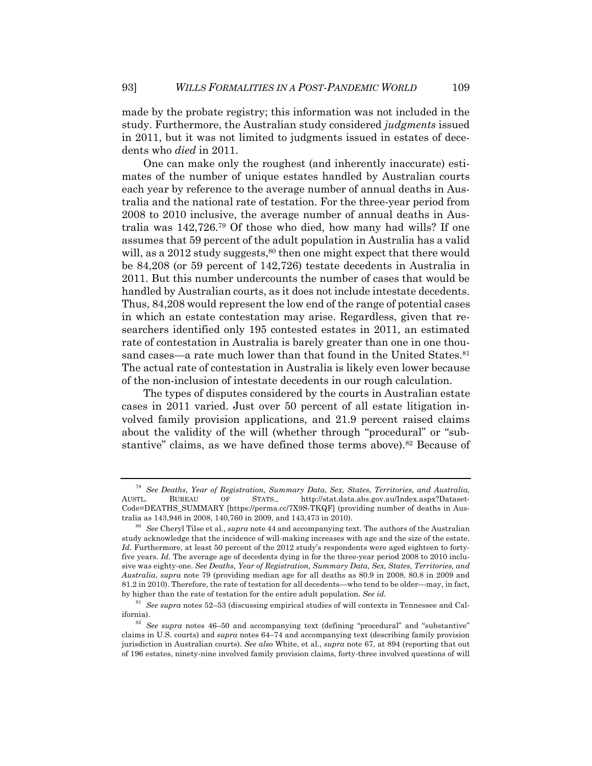made by the probate registry; this information was not included in the study. Furthermore, the Australian study considered *judgments* issued in 2011, but it was not limited to judgments issued in estates of decedents who *died* in 2011.

One can make only the roughest (and inherently inaccurate) estimates of the number of unique estates handled by Australian courts each year by reference to the average number of annual deaths in Australia and the national rate of testation. For the three-year period from 2008 to 2010 inclusive, the average number of annual deaths in Australia was 142,726.79 Of those who died, how many had wills? If one assumes that 59 percent of the adult population in Australia has a valid will, as a 2012 study suggests,  $80$  then one might expect that there would be 84,208 (or 59 percent of 142,726) testate decedents in Australia in 2011. But this number undercounts the number of cases that would be handled by Australian courts, as it does not include intestate decedents. Thus, 84,208 would represent the low end of the range of potential cases in which an estate contestation may arise. Regardless, given that researchers identified only 195 contested estates in 2011, an estimated rate of contestation in Australia is barely greater than one in one thousand cases—a rate much lower than that found in the United States.<sup>81</sup> The actual rate of contestation in Australia is likely even lower because of the non-inclusion of intestate decedents in our rough calculation.

The types of disputes considered by the courts in Australian estate cases in 2011 varied. Just over 50 percent of all estate litigation involved family provision applications, and 21.9 percent raised claims about the validity of the will (whether through "procedural" or "substantive" claims, as we have defined those terms above).<sup>82</sup> Because of

<sup>79</sup> *See Deaths, Year of Registration, Summary Data, Sex, States, Territories, and Australia*, AUSTL. BUREAU OF STATS., http://stat.data.abs.gov.au/Index.aspx?Dataset-Code=DEATHS\_SUMMARY [https://perma.cc/7X9S-TKQF] (providing number of deaths in Australia as 143,946 in 2008, 140,760 in 2009, and 143,473 in 2010).

<sup>80</sup> *See* Cheryl Tilse et al., *supra* note 44 and accompanying text. The authors of the Australian study acknowledge that the incidence of will-making increases with age and the size of the estate. *Id.* Furthermore, at least 50 percent of the 2012 study's respondents were aged eighteen to fortyfive years. *Id.* The average age of decedents dying in for the three-year period 2008 to 2010 inclusive was eighty-one. *See Deaths, Year of Registration, Summary Data, Sex, States, Territories, and Australia*, *supra* note 79 (providing median age for all deaths as 80.9 in 2008, 80.8 in 2009 and 81.2 in 2010). Therefore, the rate of testation for all decedents—who tend to be older—may, in fact, by higher than the rate of testation for the entire adult population. *See id.*

<sup>81</sup> *See supra* notes 52–53 (discussing empirical studies of will contexts in Tennessee and California).

<sup>82</sup> *See supra* notes 46–50 and accompanying text (defining "procedural" and "substantive" claims in U.S. courts) and *supra* notes 64–74 and accompanying text (describing family provision jurisdiction in Australian courts). *See also* White, et al., *supra* note 67, at 894 (reporting that out of 196 estates, ninety-nine involved family provision claims, forty-three involved questions of will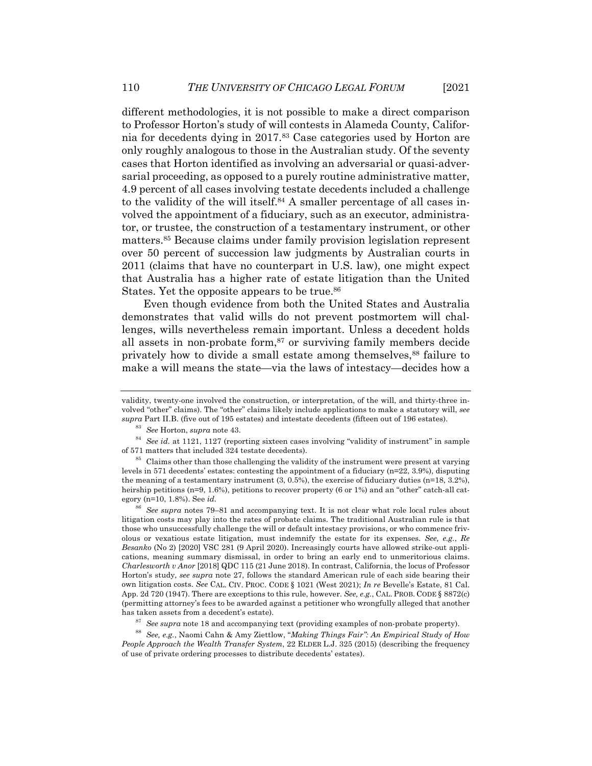different methodologies, it is not possible to make a direct comparison to Professor Horton's study of will contests in Alameda County, California for decedents dying in 2017.83 Case categories used by Horton are only roughly analogous to those in the Australian study. Of the seventy cases that Horton identified as involving an adversarial or quasi-adversarial proceeding, as opposed to a purely routine administrative matter, 4.9 percent of all cases involving testate decedents included a challenge to the validity of the will itself.<sup>84</sup> A smaller percentage of all cases involved the appointment of a fiduciary, such as an executor, administrator, or trustee, the construction of a testamentary instrument, or other matters.85 Because claims under family provision legislation represent over 50 percent of succession law judgments by Australian courts in 2011 (claims that have no counterpart in U.S. law), one might expect that Australia has a higher rate of estate litigation than the United States. Yet the opposite appears to be true.<sup>86</sup>

Even though evidence from both the United States and Australia demonstrates that valid wills do not prevent postmortem will challenges, wills nevertheless remain important. Unless a decedent holds all assets in non-probate form, $87$  or surviving family members decide privately how to divide a small estate among themselves,<sup>88</sup> failure to make a will means the state—via the laws of intestacy—decides how a

validity, twenty-one involved the construction, or interpretation, of the will, and thirty-three involved "other" claims). The "other" claims likely include applications to make a statutory will, *see supra* Part II.B. (five out of 195 estates) and intestate decedents (fifteen out of 196 estates).

<sup>83</sup> *See* Horton, *supra* note 43.

<sup>84</sup> *See id.* at 1121, 1127 (reporting sixteen cases involving "validity of instrument" in sample of 571 matters that included 324 testate decedents).

 $85$  Claims other than those challenging the validity of the instrument were present at varying levels in 571 decedents' estates: contesting the appointment of a fiduciary (n=22, 3.9%), disputing the meaning of a testamentary instrument  $(3, 0.5\%)$ , the exercise of fiduciary duties  $(n=18, 3.2\%)$ , heirship petitions (n=9, 1.6%), petitions to recover property (6 or 1%) and an "other" catch-all category (n=10, 1.8%). See *id.*

<sup>86</sup> *See supra* notes 79–81 and accompanying text. It is not clear what role local rules about litigation costs may play into the rates of probate claims. The traditional Australian rule is that those who unsuccessfully challenge the will or default intestacy provisions, or who commence frivolous or vexatious estate litigation, must indemnify the estate for its expenses. *See, e.g.*, *Re Besanko* (No 2) [2020] VSC 281 (9 April 2020). Increasingly courts have allowed strike-out applications, meaning summary dismissal, in order to bring an early end to unmeritorious claims. *Charlesworth v Anor* [2018] QDC 115 (21 June 2018). In contrast, California, the locus of Professor Horton's study, *see supra* note 27, follows the standard American rule of each side bearing their own litigation costs. *See* CAL. CIV. PROC. CODE § 1021 (West 2021); *In re* Bevelle's Estate, 81 Cal. App. 2d 720 (1947). There are exceptions to this rule, however. *See, e.g.*, CAL. PROB. CODE § 8872(c) (permitting attorney's fees to be awarded against a petitioner who wrongfully alleged that another has taken assets from a decedent's estate).

<sup>87</sup> *See supra* note 18 and accompanying text (providing examples of non-probate property).

<sup>88</sup> *See, e.g.*, Naomi Cahn & Amy Ziettlow, "*Making Things Fair": An Empirical Study of How People Approach the Wealth Transfer System*, 22 ELDER L.J. 325 (2015) (describing the frequency of use of private ordering processes to distribute decedents' estates).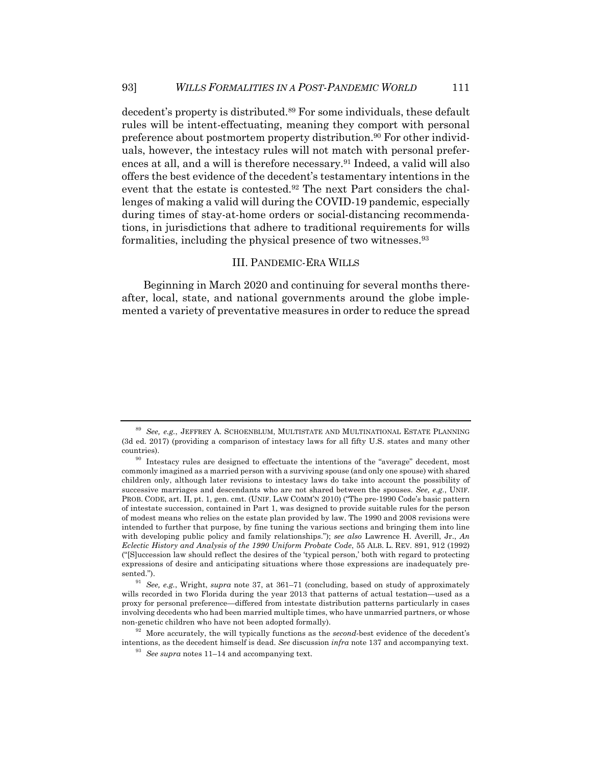decedent's property is distributed.89 For some individuals, these default rules will be intent-effectuating, meaning they comport with personal preference about postmortem property distribution.<sup>90</sup> For other individuals, however, the intestacy rules will not match with personal preferences at all, and a will is therefore necessary.<sup>91</sup> Indeed, a valid will also offers the best evidence of the decedent's testamentary intentions in the event that the estate is contested.92 The next Part considers the challenges of making a valid will during the COVID-19 pandemic, especially during times of stay-at-home orders or social-distancing recommendations, in jurisdictions that adhere to traditional requirements for wills formalities, including the physical presence of two witnesses.93

## III. PANDEMIC-ERA WILLS

Beginning in March 2020 and continuing for several months thereafter, local, state, and national governments around the globe implemented a variety of preventative measures in order to reduce the spread

<sup>89</sup> *See, e.g.*, JEFFREY A. SCHOENBLUM, MULTISTATE AND MULTINATIONAL ESTATE PLANNING (3d ed. 2017) (providing a comparison of intestacy laws for all fifty U.S. states and many other countries).

<sup>&</sup>lt;sup>90</sup> Intestacy rules are designed to effectuate the intentions of the "average" decedent, most commonly imagined as a married person with a surviving spouse (and only one spouse) with shared children only, although later revisions to intestacy laws do take into account the possibility of successive marriages and descendants who are not shared between the spouses. *See, e.g.*, UNIF. PROB. CODE, art. II, pt. 1, gen. cmt. (UNIF. LAW COMM'N 2010) ("The pre-1990 Code's basic pattern of intestate succession, contained in Part 1, was designed to provide suitable rules for the person of modest means who relies on the estate plan provided by law. The 1990 and 2008 revisions were intended to further that purpose, by fine tuning the various sections and bringing them into line with developing public policy and family relationships."); *see also* Lawrence H. Averill, Jr., *An Eclectic History and Analysis of the 1990 Uniform Probate Code*, 55 ALB. L. REV. 891, 912 (1992) ("[S]uccession law should reflect the desires of the 'typical person,' both with regard to protecting expressions of desire and anticipating situations where those expressions are inadequately presented.").

<sup>91</sup> *See, e.g.*, Wright, *supra* note 37, at 361–71 (concluding, based on study of approximately wills recorded in two Florida during the year 2013 that patterns of actual testation—used as a proxy for personal preference—differed from intestate distribution patterns particularly in cases involving decedents who had been married multiple times, who have unmarried partners, or whose non-genetic children who have not been adopted formally).

<sup>&</sup>lt;sup>92</sup> More accurately, the will typically functions as the *second*-best evidence of the decedent's intentions, as the decedent himself is dead. *See* discussion *infra* note 137 and accompanying text.

<sup>93</sup> *See supra* notes 11–14 and accompanying text.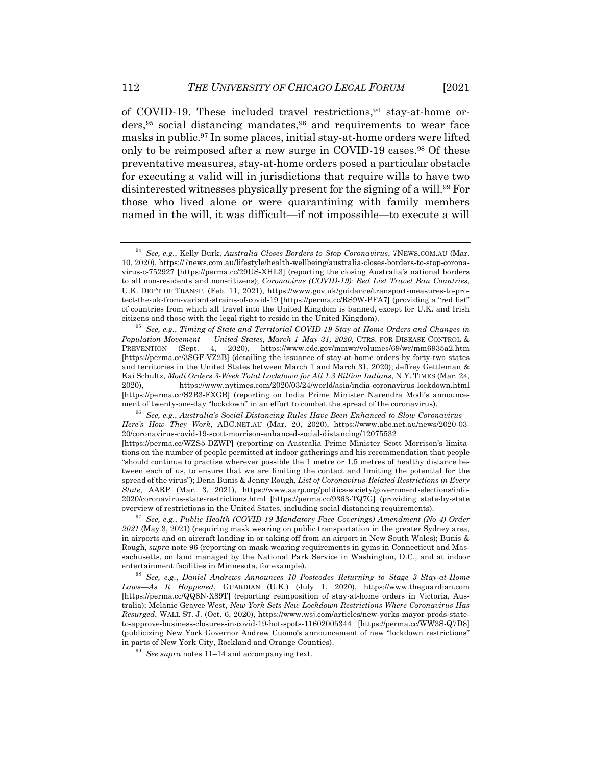of COVID-19. These included travel restrictions,94 stay-at-home orders,  $95$  social distancing mandates,  $96$  and requirements to wear face masks in public.97 In some places, initial stay-at-home orders were lifted only to be reimposed after a new surge in COVID-19 cases.<sup>98</sup> Of these preventative measures, stay-at-home orders posed a particular obstacle for executing a valid will in jurisdictions that require wills to have two disinterested witnesses physically present for the signing of a will.99 For those who lived alone or were quarantining with family members named in the will, it was difficult—if not impossible—to execute a will

<sup>94</sup> *See, e.g.*, Kelly Burk, *Australia Closes Borders to Stop Coronavirus*, 7NEWS.COM.AU (Mar. 10, 2020), https://7news.com.au/lifestyle/health-wellbeing/australia-closes-borders-to-stop-coronavirus-c-752927 [https://perma.cc/29US-XHL3] (reporting the closing Australia's national borders to all non-residents and non-citizens); *Coronavirus (COVID-19): Red List Travel Ban Countries*, U.K. DEP'T OF TRANSP. (Feb. 11, 2021), https://www.gov.uk/guidance/transport-measures-to-protect-the-uk-from-variant-strains-of-covid-19 [https://perma.cc/RS9W-PFA7] (providing a "red list" of countries from which all travel into the United Kingdom is banned, except for U.K. and Irish citizens and those with the legal right to reside in the United Kingdom).

<sup>95</sup> *See, e.g.*, *Timing of State and Territorial COVID-19 Stay-at-Home Orders and Changes in Population Movement — United States, March 1–May 31, 2020*, CTRS. FOR DISEASE CONTROL & PREVENTION (Sept. 4, 2020), https://www.cdc.gov/mmwr/volumes/69/wr/mm6935a2.htm [https://perma.cc/3SGF-VZ2B] (detailing the issuance of stay-at-home orders by forty-two states and territories in the United States between March 1 and March 31, 2020); Jeffrey Gettleman & Kai Schultz, *Modi Orders 3-Week Total Lockdown for All 1.3 Billion Indians*, N.Y. TIMES (Mar. 24, 2020), https://www.nytimes.com/2020/03/24/world/asia/india-coronavirus-lockdown.html [https://perma.cc/S2B3-FXGB] (reporting on India Prime Minister Narendra Modi's announcement of twenty-one-day "lockdown" in an effort to combat the spread of the coronavirus).

<sup>96</sup> *See, e.g.*, *Australia's Social Distancing Rules Have Been Enhanced to Slow Coronavirus— Here's How They Work*, ABC.NET.AU (Mar. 20, 2020), https://www.abc.net.au/news/2020-03- 20/coronavirus-covid-19-scott-morrison-enhanced-social-distancing/12075532 [https://perma.cc/WZS5-DZWP] (reporting on Australia Prime Minister Scott Morrison's limitations on the number of people permitted at indoor gatherings and his recommendation that people "should continue to practise wherever possible the 1 metre or 1.5 metres of healthy distance between each of us, to ensure that we are limiting the contact and limiting the potential for the spread of the virus"); Dena Bunis & Jenny Rough, *List of Coronavirus-Related Restrictions in Every State*, AARP (Mar. 3, 2021), https://www.aarp.org/politics-society/government-elections/info-2020/coronavirus-state-restrictions.html [https://perma.cc/9363-TQ7G] (providing state-by-state overview of restrictions in the United States, including social distancing requirements).

<sup>97</sup> *See, e.g.*, *Public Health (COVID-19 Mandatory Face Coverings) Amendment (No 4) Order 2021* (May 3, 2021) (requiring mask wearing on public transportation in the greater Sydney area, in airports and on aircraft landing in or taking off from an airport in New South Wales); Bunis & Rough, *supra* note 96 (reporting on mask-wearing requirements in gyms in Connecticut and Massachusetts, on land managed by the National Park Service in Washington, D.C., and at indoor entertainment facilities in Minnesota, for example).

<sup>98</sup> *See, e.g.*, *Daniel Andrews Announces 10 Postcodes Returning to Stage 3 Stay-at-Home Laws—As It Happened*, GUARDIAN (U.K.) (July 1, 2020), https://www.theguardian.com [https://perma.cc/QQ8N-X89T] (reporting reimposition of stay-at-home orders in Victoria, Australia); Melanie Grayce West, *New York Sets New Lockdown Restrictions Where Coronavirus Has Resurged*, WALL ST. J. (Oct. 6, 2020), https://www.wsj.com/articles/new-yorks-mayor-prods-stateto-approve-business-closures-in-covid-19-hot-spots-11602005344 [https://perma.cc/WW3S-Q7D8] (publicizing New York Governor Andrew Cuomo's announcement of new "lockdown restrictions" in parts of New York City, Rockland and Orange Counties).

<sup>99</sup> *See supra* notes 11–14 and accompanying text.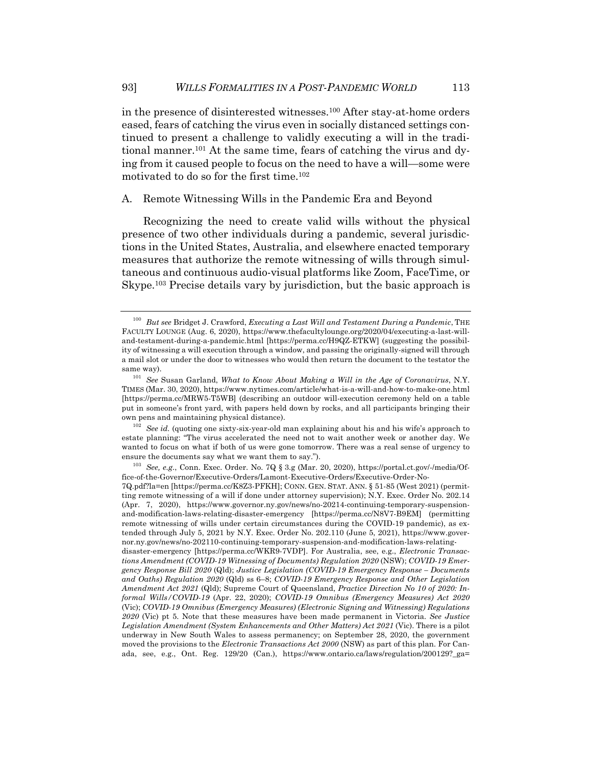in the presence of disinterested witnesses.100 After stay-at-home orders eased, fears of catching the virus even in socially distanced settings continued to present a challenge to validly executing a will in the traditional manner.101 At the same time, fears of catching the virus and dying from it caused people to focus on the need to have a will—some were motivated to do so for the first time.102

A. Remote Witnessing Wills in the Pandemic Era and Beyond

Recognizing the need to create valid wills without the physical presence of two other individuals during a pandemic, several jurisdictions in the United States, Australia, and elsewhere enacted temporary measures that authorize the remote witnessing of wills through simultaneous and continuous audio-visual platforms like Zoom, FaceTime, or Skype.103 Precise details vary by jurisdiction, but the basic approach is

<sup>102</sup> *See id.* (quoting one sixty-six-year-old man explaining about his and his wife's approach to estate planning: "The virus accelerated the need not to wait another week or another day. We wanted to focus on what if both of us were gone tomorrow. There was a real sense of urgency to ensure the documents say what we want them to say.").

<sup>103</sup> *See, e.g.*, Conn. Exec. Order. No. 7Q § 3.g (Mar. 20, 2020), https://portal.ct.gov/-/media/Office-of-the-Governor/Executive-Orders/Lamont-Executive-Orders/Executive-Order-No-

7Q.pdf?la=en [https://perma.cc/K8Z3-PFKH]; CONN. GEN. STAT. ANN. § 51-85 (West 2021) (permitting remote witnessing of a will if done under attorney supervision); N.Y. Exec. Order No. 202.14 (Apr. 7, 2020), https://www.governor.ny.gov/news/no-20214-continuing-temporary-suspensionand-modification-laws-relating-disaster-emergency [https://perma.cc/N8V7-B9EM] (permitting remote witnessing of wills under certain circumstances during the COVID-19 pandemic), as extended through July 5, 2021 by N.Y. Exec. Order No. 202.110 (June 5, 2021), https://www.governor.ny.gov/news/no-202110-continuing-temporary-suspension-and-modification-laws-relating-

disaster-emergency [https://perma.cc/WKR9-7VDP]. For Australia, see, e.g., *Electronic Transactions Amendment (COVID-19 Witnessing of Documents) Regulation 2020* (NSW); *COVID-19 Emergency Response Bill 2020* (Qld); *Justice Legislation (COVID-19 Emergency Response – Documents and Oaths) Regulation 2020* (Qld) ss 6–8; *COVID-19 Emergency Response and Other Legislation Amendment Act 2021* (Qld); Supreme Court of Queensland, *Practice Direction No 10 of 2020: Informal Wills/COVID-19* (Apr. 22, 2020); *COVID-19 Omnibus (Emergency Measures) Act 2020* (Vic); *COVID-19 Omnibus (Emergency Measures) (Electronic Signing and Witnessing) Regulations 2020* (Vic) pt 5. Note that these measures have been made permanent in Victoria. *See Justice Legislation Amendment (System Enhancements and Other Matters) Act 2021* (Vic). There is a pilot underway in New South Wales to assess permanency; on September 28, 2020, the government moved the provisions to the *Electronic Transactions Act 2000* (NSW) as part of this plan. For Canada, see, e.g., Ont. Reg. 129/20 (Can.), https://www.ontario.ca/laws/regulation/200129?\_ga=

<sup>100</sup> *But see* Bridget J. Crawford, *Executing a Last Will and Testament During a Pandemic*, THE FACULTY LOUNGE (Aug. 6, 2020), https://www.thefacultylounge.org/2020/04/executing-a-last-willand-testament-during-a-pandemic.html [https://perma.cc/H9QZ-ETKW] (suggesting the possibility of witnessing a will execution through a window, and passing the originally-signed will through a mail slot or under the door to witnesses who would then return the document to the testator the same way).

<sup>101</sup> *See* Susan Garland, *What to Know About Making a Will in the Age of Coronavirus*, N.Y. TIMES (Mar. 30, 2020), https://www.nytimes.com/article/what-is-a-will-and-how-to-make-one.html [https://perma.cc/MRW5-T5WB] (describing an outdoor will-execution ceremony held on a table put in someone's front yard, with papers held down by rocks, and all participants bringing their own pens and maintaining physical distance).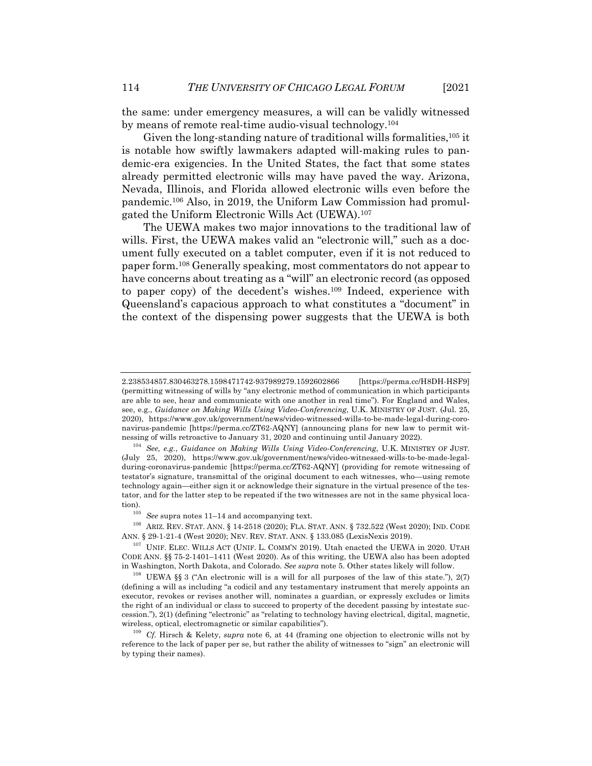the same: under emergency measures, a will can be validly witnessed by means of remote real-time audio-visual technology.104

Given the long-standing nature of traditional wills formalities, <sup>105</sup> it is notable how swiftly lawmakers adapted will-making rules to pandemic-era exigencies. In the United States, the fact that some states already permitted electronic wills may have paved the way. Arizona, Nevada, Illinois, and Florida allowed electronic wills even before the pandemic.106 Also, in 2019, the Uniform Law Commission had promulgated the Uniform Electronic Wills Act (UEWA).107

The UEWA makes two major innovations to the traditional law of wills. First, the UEWA makes valid an "electronic will," such as a document fully executed on a tablet computer, even if it is not reduced to paper form.108 Generally speaking, most commentators do not appear to have concerns about treating as a "will" an electronic record (as opposed to paper copy) of the decedent's wishes.109 Indeed, experience with Queensland's capacious approach to what constitutes a "document" in the context of the dispensing power suggests that the UEWA is both

<sup>2.238534857.830463278.1598471742-937989279.1592602866</sup> [https://perma.cc/H8DH-HSF9] (permitting witnessing of wills by "any electronic method of communication in which participants are able to see, hear and communicate with one another in real time"). For England and Wales, see, e.g., *Guidance on Making Wills Using Video-Conferencing*, U.K. MINISTRY OF JUST. (Jul. 25, 2020), https://www.gov.uk/government/news/video-witnessed-wills-to-be-made-legal-during-coronavirus-pandemic [https://perma.cc/ZT62-AQNY] (announcing plans for new law to permit witnessing of wills retroactive to January 31, 2020 and continuing until January 2022).

<sup>104</sup> *See, e.g.*, *Guidance on Making Wills Using Video-Conferencing*, U.K. MINISTRY OF JUST. (July 25, 2020), https://www.gov.uk/government/news/video-witnessed-wills-to-be-made-legalduring-coronavirus-pandemic [https://perma.cc/ZT62-AQNY] (providing for remote witnessing of testator's signature, transmittal of the original document to each witnesses, who—using remote technology again—either sign it or acknowledge their signature in the virtual presence of the testator, and for the latter step to be repeated if the two witnesses are not in the same physical location).

 $^{105}\,$   $See$  supra notes 11–14 and accompanying text.

<sup>106</sup> ARIZ. REV. STAT. ANN. § 14-2518 (2020); FLA. STAT. ANN. § 732.522 (West 2020); IND. CODE ANN. § 29-1-21-4 (West 2020); NEV. REV. STAT. ANN. § 133.085 (LexisNexis 2019).

<sup>&</sup>lt;sup>107</sup> UNIF. ELEC. WILLS ACT (UNIF. L. COMM'N 2019). Utah enacted the UEWA in 2020. UTAH CODE ANN. §§ 75-2-1401–1411 (West 2020). As of this writing, the UEWA also has been adopted in Washington, North Dakota, and Colorado. *See supra* note 5. Other states likely will follow.

<sup>108</sup> UEWA §§ 3 ("An electronic will is a will for all purposes of the law of this state."), 2(7) (defining a will as including "a codicil and any testamentary instrument that merely appoints an executor, revokes or revises another will, nominates a guardian, or expressly excludes or limits the right of an individual or class to succeed to property of the decedent passing by intestate succession."), 2(1) (defining "electronic" as "relating to technology having electrical, digital, magnetic, wireless, optical, electromagnetic or similar capabilities").

<sup>109</sup> *Cf.* Hirsch & Kelety, *supra* note 6, at 44 (framing one objection to electronic wills not by reference to the lack of paper per se, but rather the ability of witnesses to "sign" an electronic will by typing their names).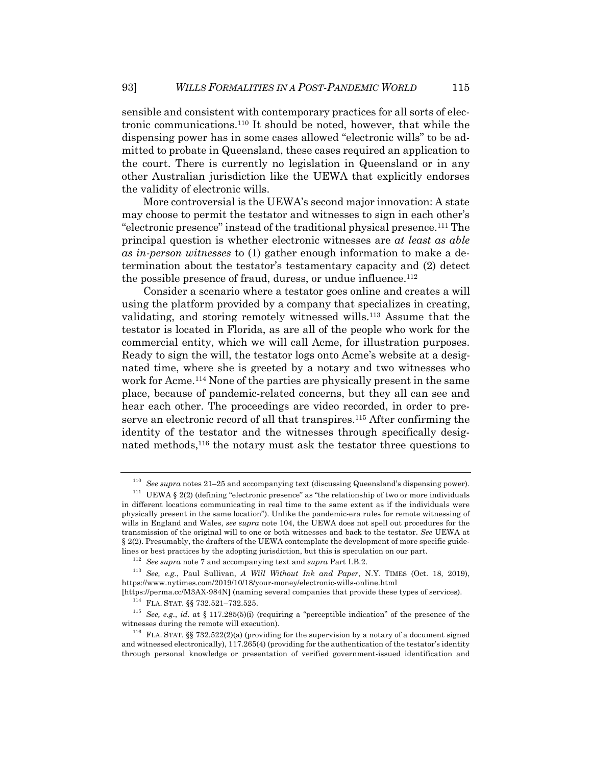sensible and consistent with contemporary practices for all sorts of electronic communications.110 It should be noted, however, that while the dispensing power has in some cases allowed "electronic wills" to be admitted to probate in Queensland, these cases required an application to the court. There is currently no legislation in Queensland or in any other Australian jurisdiction like the UEWA that explicitly endorses the validity of electronic wills.

More controversial is the UEWA's second major innovation: A state may choose to permit the testator and witnesses to sign in each other's "electronic presence" instead of the traditional physical presence.111 The principal question is whether electronic witnesses are *at least as able as in-person witnesses* to (1) gather enough information to make a determination about the testator's testamentary capacity and (2) detect the possible presence of fraud, duress, or undue influence.<sup>112</sup>

Consider a scenario where a testator goes online and creates a will using the platform provided by a company that specializes in creating, validating, and storing remotely witnessed wills.113 Assume that the testator is located in Florida, as are all of the people who work for the commercial entity, which we will call Acme, for illustration purposes. Ready to sign the will, the testator logs onto Acme's website at a designated time, where she is greeted by a notary and two witnesses who work for Acme.114 None of the parties are physically present in the same place, because of pandemic-related concerns, but they all can see and hear each other. The proceedings are video recorded, in order to preserve an electronic record of all that transpires.<sup>115</sup> After confirming the identity of the testator and the witnesses through specifically designated methods,<sup>116</sup> the notary must ask the testator three questions to

<sup>110</sup> *See supra* notes 21–25 and accompanying text (discussing Queensland's dispensing power).

<sup>&</sup>lt;sup>111</sup> UEWA § 2(2) (defining "electronic presence" as "the relationship of two or more individuals in different locations communicating in real time to the same extent as if the individuals were physically present in the same location"). Unlike the pandemic-era rules for remote witnessing of wills in England and Wales, *see supra* note 104, the UEWA does not spell out procedures for the transmission of the original will to one or both witnesses and back to the testator. *See* UEWA at § 2(2). Presumably, the drafters of the UEWA contemplate the development of more specific guidelines or best practices by the adopting jurisdiction, but this is speculation on our part.

<sup>112</sup> *See supra* note 7 and accompanying text and *supra* Part I.B.2.

<sup>113</sup> *See, e.g.*, Paul Sullivan, *A Will Without Ink and Paper*, N.Y. TIMES (Oct. 18, 2019), https://www.nytimes.com/2019/10/18/your-money/electronic-wills-online.html

<sup>[</sup>https://perma.cc/M3AX-984N] (naming several companies that provide these types of services). <sup>114</sup> FLA. STAT. §§ 732.521–732.525.

<sup>115</sup> *See, e.g.*, *id.* at § 117.285(5)(i) (requiring a "perceptible indication" of the presence of the witnesses during the remote will execution).

<sup>&</sup>lt;sup>116</sup> FLA. STAT. §§ 732.522(2)(a) (providing for the supervision by a notary of a document signed and witnessed electronically), 117.265(4) (providing for the authentication of the testator's identity through personal knowledge or presentation of verified government-issued identification and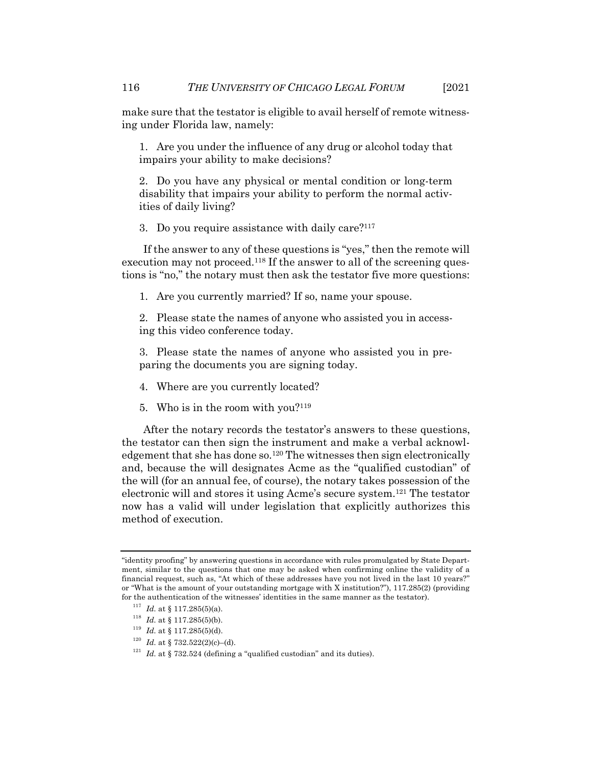make sure that the testator is eligible to avail herself of remote witnessing under Florida law, namely:

1. Are you under the influence of any drug or alcohol today that impairs your ability to make decisions?

2. Do you have any physical or mental condition or long-term disability that impairs your ability to perform the normal activities of daily living?

3. Do you require assistance with daily care?117

If the answer to any of these questions is "yes," then the remote will execution may not proceed.<sup>118</sup> If the answer to all of the screening questions is "no," the notary must then ask the testator five more questions:

1. Are you currently married? If so, name your spouse.

2. Please state the names of anyone who assisted you in accessing this video conference today.

3. Please state the names of anyone who assisted you in preparing the documents you are signing today.

- 4. Where are you currently located?
- 5. Who is in the room with you? $119$

After the notary records the testator's answers to these questions, the testator can then sign the instrument and make a verbal acknowledgement that she has done so.120 The witnesses then sign electronically and, because the will designates Acme as the "qualified custodian" of the will (for an annual fee, of course), the notary takes possession of the electronic will and stores it using Acme's secure system.121 The testator now has a valid will under legislation that explicitly authorizes this method of execution.

<sup>&</sup>quot;identity proofing" by answering questions in accordance with rules promulgated by State Department, similar to the questions that one may be asked when confirming online the validity of a financial request, such as, "At which of these addresses have you not lived in the last 10 years?" or "What is the amount of your outstanding mortgage with X institution?"), 117.285(2) (providing for the authentication of the witnesses' identities in the same manner as the testator).

 $117$  *Id.* at § 117.285(5)(a).

<sup>&</sup>lt;sup>118</sup> *Id.* at § 117.285(5)(b).

 $^{119}$   $Id.$  at § 117.285(5)(d).

 $120$  *Id.* at § 732.522(2)(c)–(d).

 $121$  *Id.* at § 732.524 (defining a "qualified custodian" and its duties).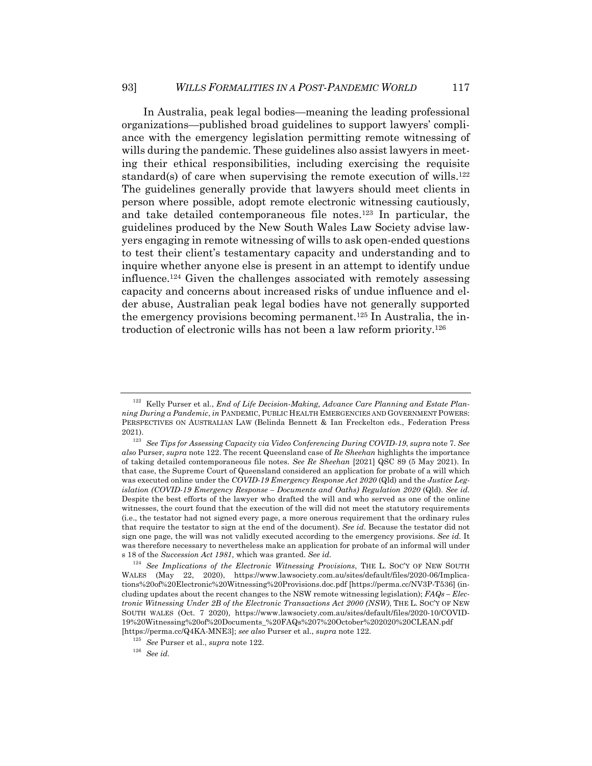In Australia, peak legal bodies—meaning the leading professional organizations—published broad guidelines to support lawyers' compliance with the emergency legislation permitting remote witnessing of wills during the pandemic. These guidelines also assist lawyers in meeting their ethical responsibilities, including exercising the requisite standard(s) of care when supervising the remote execution of wills.<sup>122</sup> The guidelines generally provide that lawyers should meet clients in person where possible, adopt remote electronic witnessing cautiously, and take detailed contemporaneous file notes.123 In particular, the guidelines produced by the New South Wales Law Society advise lawyers engaging in remote witnessing of wills to ask open-ended questions to test their client's testamentary capacity and understanding and to inquire whether anyone else is present in an attempt to identify undue influence.<sup>124</sup> Given the challenges associated with remotely assessing capacity and concerns about increased risks of undue influence and elder abuse, Australian peak legal bodies have not generally supported the emergency provisions becoming permanent.125 In Australia, the introduction of electronic wills has not been a law reform priority.126

<sup>&</sup>lt;sup>122</sup> Kelly Purser et al., *End of Life Decision-Making, Advance Care Planning and Estate Planning During a Pandemic*, *in* PANDEMIC, PUBLIC HEALTH EMERGENCIES AND GOVERNMENT POWERS: PERSPECTIVES ON AUSTRALIAN LAW (Belinda Bennett & Ian Freckelton eds., Federation Press 2021).

<sup>123</sup> *See Tips for Assessing Capacity via Video Conferencing During COVID-19*, *supra* note 7. *See also* Purser, *supra* note 122. The recent Queensland case of *Re Sheehan* highlights the importance of taking detailed contemporaneous file notes. *See Re Sheehan* [2021] QSC 89 (5 May 2021). In that case, the Supreme Court of Queensland considered an application for probate of a will which was executed online under the *COVID-19 Emergency Response Act 2020* (Qld) and the *Justice Legislation (COVID-19 Emergency Response – Documents and Oaths) Regulation 2020* (Qld). *See id.* Despite the best efforts of the lawyer who drafted the will and who served as one of the online witnesses, the court found that the execution of the will did not meet the statutory requirements (i.e., the testator had not signed every page, a more onerous requirement that the ordinary rules that require the testator to sign at the end of the document). *See id.* Because the testator did not sign one page, the will was not validly executed according to the emergency provisions. *See id.* It was therefore necessary to nevertheless make an application for probate of an informal will under s 18 of the *Succession Act 1981*, which was granted. *See id.*

<sup>124</sup> *See Implications of the Electronic Witnessing Provisions*, THE L. SOC'Y OF NEW SOUTH WALES (May 22, 2020), https://www.lawsociety.com.au/sites/default/files/2020-06/Implications%20of%20Electronic%20Witnessing%20Provisions.doc.pdf [https://perma.cc/NV3P-T536] (including updates about the recent changes to the NSW remote witnessing legislation); *FAQs – Electronic Witnessing Under 2B of the Electronic Transactions Act 2000 (NSW)*, THE L. SOC'Y OF NEW SOUTH WALES (Oct. 7 2020), https://www.lawsociety.com.au/sites/default/files/2020-10/COVID-19%20Witnessing%20of%20Documents\_%20FAQs%207%20October%202020%20CLEAN.pdf [https://perma.cc/Q4KA-MNE3]; *see also* Purser et al., *supra* note 122.

<sup>125</sup> *See* Purser et al., *supra* note 122.

<sup>126</sup> *See id.*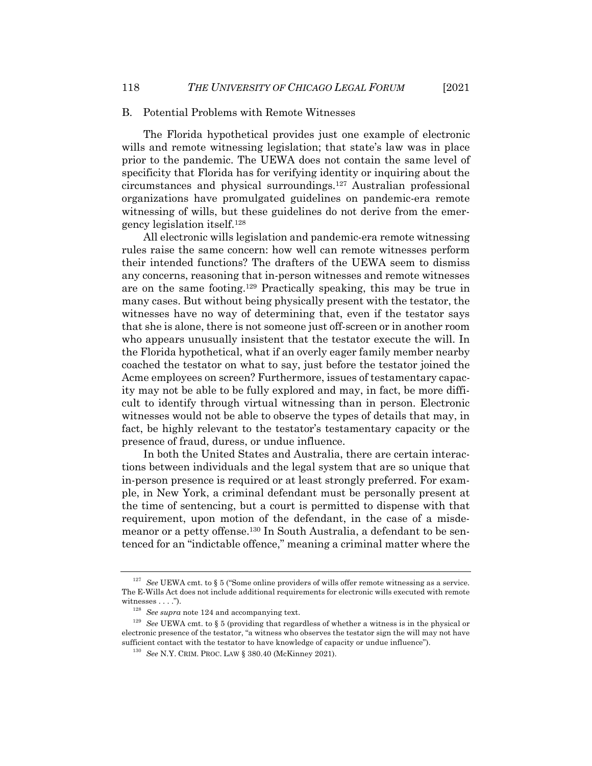#### B. Potential Problems with Remote Witnesses

The Florida hypothetical provides just one example of electronic wills and remote witnessing legislation; that state's law was in place prior to the pandemic. The UEWA does not contain the same level of specificity that Florida has for verifying identity or inquiring about the circumstances and physical surroundings.127 Australian professional organizations have promulgated guidelines on pandemic-era remote witnessing of wills, but these guidelines do not derive from the emergency legislation itself.128

All electronic wills legislation and pandemic-era remote witnessing rules raise the same concern: how well can remote witnesses perform their intended functions? The drafters of the UEWA seem to dismiss any concerns, reasoning that in-person witnesses and remote witnesses are on the same footing.129 Practically speaking, this may be true in many cases. But without being physically present with the testator, the witnesses have no way of determining that, even if the testator says that she is alone, there is not someone just off-screen or in another room who appears unusually insistent that the testator execute the will. In the Florida hypothetical, what if an overly eager family member nearby coached the testator on what to say, just before the testator joined the Acme employees on screen? Furthermore, issues of testamentary capacity may not be able to be fully explored and may, in fact, be more difficult to identify through virtual witnessing than in person. Electronic witnesses would not be able to observe the types of details that may, in fact, be highly relevant to the testator's testamentary capacity or the presence of fraud, duress, or undue influence.

In both the United States and Australia, there are certain interactions between individuals and the legal system that are so unique that in-person presence is required or at least strongly preferred. For example, in New York, a criminal defendant must be personally present at the time of sentencing, but a court is permitted to dispense with that requirement, upon motion of the defendant, in the case of a misdemeanor or a petty offense.130 In South Australia, a defendant to be sentenced for an "indictable offence," meaning a criminal matter where the

<sup>&</sup>lt;sup>127</sup> See UEWA cmt. to § 5 ("Some online providers of wills offer remote witnessing as a service. The E-Wills Act does not include additional requirements for electronic wills executed with remote witnesses . . . .").

<sup>128</sup> *See supra* note 124 and accompanying text.

<sup>129</sup> *See* UEWA cmt. to § 5 (providing that regardless of whether a witness is in the physical or electronic presence of the testator, "a witness who observes the testator sign the will may not have sufficient contact with the testator to have knowledge of capacity or undue influence").

<sup>130</sup> *See* N.Y. CRIM. PROC. LAW § 380.40 (McKinney 2021).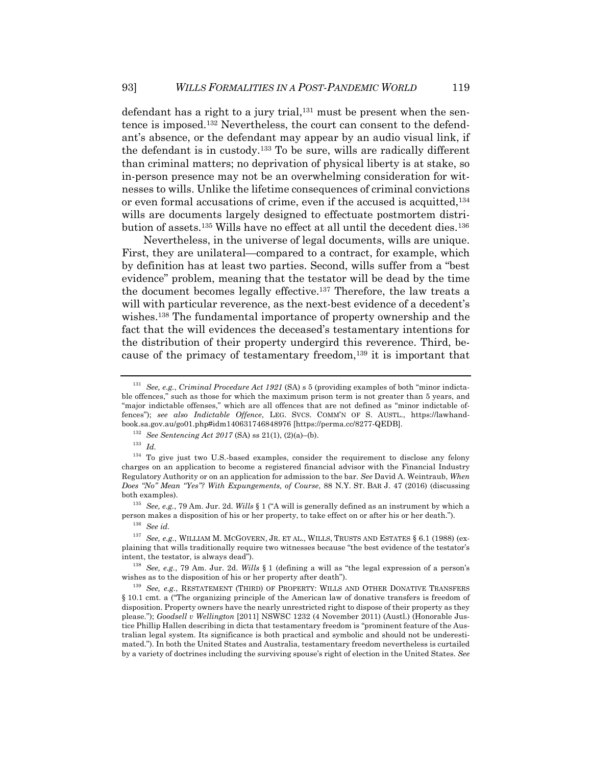defendant has a right to a jury trial, $131$  must be present when the sentence is imposed.132 Nevertheless, the court can consent to the defendant's absence, or the defendant may appear by an audio visual link, if the defendant is in custody.133 To be sure, wills are radically different than criminal matters; no deprivation of physical liberty is at stake, so in-person presence may not be an overwhelming consideration for witnesses to wills. Unlike the lifetime consequences of criminal convictions or even formal accusations of crime, even if the accused is acquitted,134 wills are documents largely designed to effectuate postmortem distribution of assets.135 Wills have no effect at all until the decedent dies.136

Nevertheless, in the universe of legal documents, wills are unique. First, they are unilateral—compared to a contract, for example, which by definition has at least two parties. Second, wills suffer from a "best evidence" problem, meaning that the testator will be dead by the time the document becomes legally effective.137 Therefore, the law treats a will with particular reverence, as the next-best evidence of a decedent's wishes.138 The fundamental importance of property ownership and the fact that the will evidences the deceased's testamentary intentions for the distribution of their property undergird this reverence. Third, because of the primacy of testamentary freedom,<sup>139</sup> it is important that

<sup>133</sup> *Id.*

<sup>135</sup> *See, e.g.*, 79 Am. Jur. 2d. *Wills* § 1 ("A will is generally defined as an instrument by which a person makes a disposition of his or her property, to take effect on or after his or her death.").

<sup>136</sup> *See id.*

<sup>137</sup> *See, e.g.*, WILLIAM M. MCGOVERN, JR. ET AL., WILLS, TRUSTS AND ESTATES § 6.1 (1988) (explaining that wills traditionally require two witnesses because "the best evidence of the testator's intent, the testator, is always dead").

<sup>138</sup> *See, e.g.*, 79 Am. Jur. 2d. *Wills* § 1 (defining a will as "the legal expression of a person's wishes as to the disposition of his or her property after death").

<sup>131</sup> *See, e.g.*, *Criminal Procedure Act 1921* (SA) s 5 (providing examples of both "minor indictable offences," such as those for which the maximum prison term is not greater than 5 years, and "major indictable offenses," which are all offences that are not defined as "minor indictable offences"); *see also Indictable Offence*, LEG. SVCS. COMM'N OF S. AUSTL., https://lawhandbook.sa.gov.au/go01.php#idm140631746848976 [https://perma.cc/8277-QEDB].

<sup>132</sup> *See Sentencing Act 2017* (SA) ss 21(1), (2)(a)–(b).

<sup>&</sup>lt;sup>134</sup> To give just two U.S.-based examples, consider the requirement to disclose any felony charges on an application to become a registered financial advisor with the Financial Industry Regulatory Authority or on an application for admission to the bar. *See* David A. Weintraub, *When Does "No" Mean "Yes"? With Expungements, of Course*, 88 N.Y. ST. BAR J. 47 (2016) (discussing both examples).

<sup>139</sup> *See, e.g.*, RESTATEMENT (THIRD) OF PROPERTY: WILLS AND OTHER DONATIVE TRANSFERS § 10.1 cmt. a ("The organizing principle of the American law of donative transfers is freedom of disposition. Property owners have the nearly unrestricted right to dispose of their property as they please."); *Goodsell v Wellington* [2011] NSWSC 1232 (4 November 2011) (Austl.) (Honorable Justice Phillip Hallen describing in dicta that testamentary freedom is "prominent feature of the Australian legal system. Its significance is both practical and symbolic and should not be underestimated."). In both the United States and Australia, testamentary freedom nevertheless is curtailed by a variety of doctrines including the surviving spouse's right of election in the United States. *See*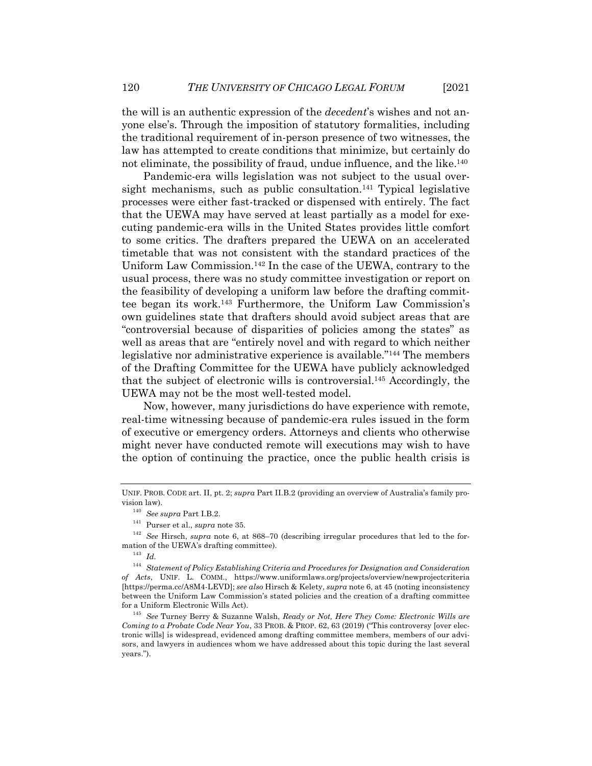the will is an authentic expression of the *decedent*'s wishes and not anyone else's. Through the imposition of statutory formalities, including the traditional requirement of in-person presence of two witnesses, the law has attempted to create conditions that minimize, but certainly do not eliminate, the possibility of fraud, undue influence, and the like.140

Pandemic-era wills legislation was not subject to the usual oversight mechanisms, such as public consultation.<sup>141</sup> Typical legislative processes were either fast-tracked or dispensed with entirely. The fact that the UEWA may have served at least partially as a model for executing pandemic-era wills in the United States provides little comfort to some critics. The drafters prepared the UEWA on an accelerated timetable that was not consistent with the standard practices of the Uniform Law Commission.142 In the case of the UEWA, contrary to the usual process, there was no study committee investigation or report on the feasibility of developing a uniform law before the drafting committee began its work.143 Furthermore, the Uniform Law Commission's own guidelines state that drafters should avoid subject areas that are "controversial because of disparities of policies among the states" as well as areas that are "entirely novel and with regard to which neither legislative nor administrative experience is available."144 The members of the Drafting Committee for the UEWA have publicly acknowledged that the subject of electronic wills is controversial.145 Accordingly, the UEWA may not be the most well-tested model.

Now, however, many jurisdictions do have experience with remote, real-time witnessing because of pandemic-era rules issued in the form of executive or emergency orders. Attorneys and clients who otherwise might never have conducted remote will executions may wish to have the option of continuing the practice, once the public health crisis is

UNIF. PROB. CODE art. II, pt. 2; *supra* Part II.B.2 (providing an overview of Australia's family provision law).

<sup>140</sup> *See supra* Part I.B.2.

<sup>141</sup> Purser et al., *supra* note 35.

<sup>142</sup> *See* Hirsch, *supra* note 6, at 868–70 (describing irregular procedures that led to the formation of the UEWA's drafting committee).

<sup>143</sup> *Id.*

<sup>144</sup> *Statement of Policy Establishing Criteria and Procedures for Designation and Consideration of Acts*, UNIF. L. COMM., https://www.uniformlaws.org/projects/overview/newprojectcriteria [https://perma.cc/A8M4-LEVD]; *see also* Hirsch & Kelety, *supra* note 6, at 45 (noting inconsistency between the Uniform Law Commission's stated policies and the creation of a drafting committee for a Uniform Electronic Wills Act).

<sup>145</sup> *See* Turney Berry & Suzanne Walsh, *Ready or Not, Here They Come: Electronic Wills are Coming to a Probate Code Near You*, 33 PROB. & PROP. 62, 63 (2019) ("This controversy [over electronic wills] is widespread, evidenced among drafting committee members, members of our advisors, and lawyers in audiences whom we have addressed about this topic during the last several years.").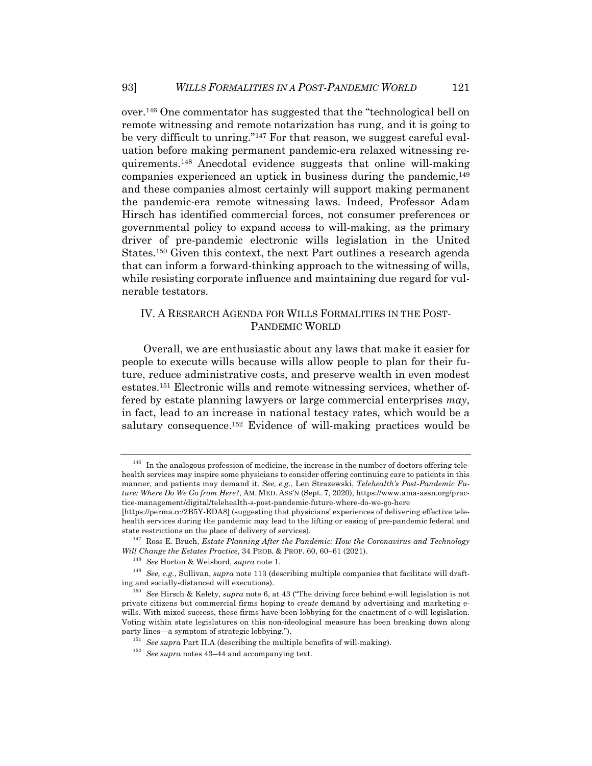over.146 One commentator has suggested that the "technological bell on remote witnessing and remote notarization has rung, and it is going to be very difficult to unring."<sup>147</sup> For that reason, we suggest careful evaluation before making permanent pandemic-era relaxed witnessing requirements.148 Anecdotal evidence suggests that online will-making companies experienced an uptick in business during the pandemic,  $149$ and these companies almost certainly will support making permanent the pandemic-era remote witnessing laws. Indeed, Professor Adam Hirsch has identified commercial forces, not consumer preferences or governmental policy to expand access to will-making, as the primary driver of pre-pandemic electronic wills legislation in the United States.150 Given this context, the next Part outlines a research agenda that can inform a forward-thinking approach to the witnessing of wills, while resisting corporate influence and maintaining due regard for vulnerable testators.

## IV. A RESEARCH AGENDA FOR WILLS FORMALITIES IN THE POST-PANDEMIC WORLD

Overall, we are enthusiastic about any laws that make it easier for people to execute wills because wills allow people to plan for their future, reduce administrative costs, and preserve wealth in even modest estates.151 Electronic wills and remote witnessing services, whether offered by estate planning lawyers or large commercial enterprises *may*, in fact, lead to an increase in national testacy rates, which would be a salutary consequence.<sup>152</sup> Evidence of will-making practices would be

 $146$  In the analogous profession of medicine, the increase in the number of doctors offering telehealth services may inspire some physicians to consider offering continuing care to patients in this manner, and patients may demand it. *See, e.g.*, Len Strazewski, *Telehealth's Post-Pandemic Future: Where Do We Go from Here?*, AM. MED. ASS'N (Sept. 7, 2020), https://www.ama-assn.org/practice-management/digital/telehealth-s-post-pandemic-future-where-do-we-go-here

<sup>[</sup>https://perma.cc/2B5Y-EDA8] (suggesting that physicians' experiences of delivering effective telehealth services during the pandemic may lead to the lifting or easing of pre-pandemic federal and state restrictions on the place of delivery of services).

<sup>147</sup> Ross E. Bruch, *Estate Planning After the Pandemic: How the Coronavirus and Technology Will Change the Estates Practice*, 34 PROB. & PROP. 60, 60–61 (2021).

<sup>148</sup> *See* Horton & Weisbord, *supra* note 1.

<sup>149</sup> *See, e.g.*, Sullivan, *supra* note 113 (describing multiple companies that facilitate will drafting and socially-distanced will executions).

<sup>150</sup> *See* Hirsch & Kelety, *supra* note 6, at 43 ("The driving force behind e-will legislation is not private citizens but commercial firms hoping to *create* demand by advertising and marketing ewills. With mixed success, these firms have been lobbying for the enactment of e-will legislation. Voting within state legislatures on this non-ideological measure has been breaking down along party lines—a symptom of strategic lobbying.").

<sup>151</sup> *See supra* Part II.A (describing the multiple benefits of will-making).

<sup>152</sup> *See supra* notes 43–44 and accompanying text.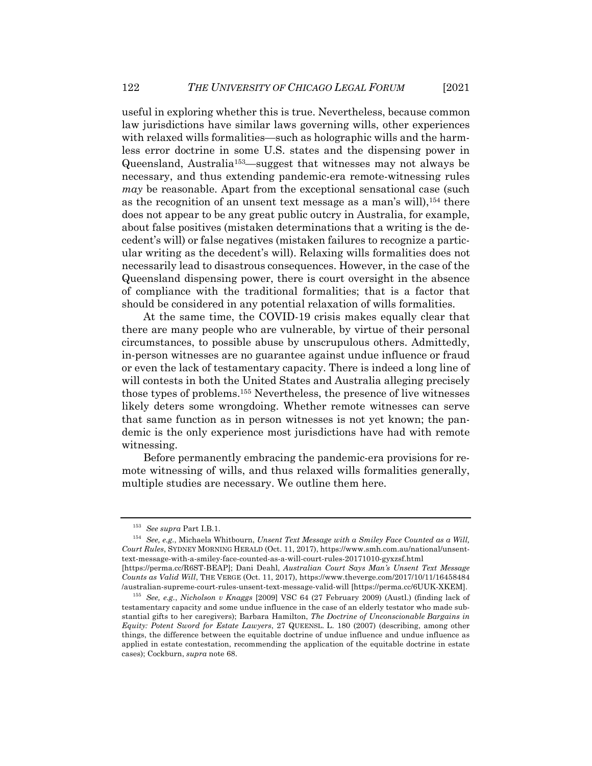useful in exploring whether this is true. Nevertheless, because common law jurisdictions have similar laws governing wills, other experiences with relaxed wills formalities—such as holographic wills and the harmless error doctrine in some U.S. states and the dispensing power in Queensland, Australia153—suggest that witnesses may not always be necessary, and thus extending pandemic-era remote-witnessing rules *may* be reasonable. Apart from the exceptional sensational case (such as the recognition of an unsent text message as a man's will),154 there does not appear to be any great public outcry in Australia, for example, about false positives (mistaken determinations that a writing is the decedent's will) or false negatives (mistaken failures to recognize a particular writing as the decedent's will). Relaxing wills formalities does not necessarily lead to disastrous consequences. However, in the case of the Queensland dispensing power, there is court oversight in the absence of compliance with the traditional formalities; that is a factor that should be considered in any potential relaxation of wills formalities.

At the same time, the COVID-19 crisis makes equally clear that there are many people who are vulnerable, by virtue of their personal circumstances, to possible abuse by unscrupulous others. Admittedly, in-person witnesses are no guarantee against undue influence or fraud or even the lack of testamentary capacity. There is indeed a long line of will contests in both the United States and Australia alleging precisely those types of problems.155 Nevertheless, the presence of live witnesses likely deters some wrongdoing. Whether remote witnesses can serve that same function as in person witnesses is not yet known; the pandemic is the only experience most jurisdictions have had with remote witnessing.

Before permanently embracing the pandemic-era provisions for remote witnessing of wills, and thus relaxed wills formalities generally, multiple studies are necessary. We outline them here.

<sup>153</sup> *See supra* Part I.B.1.

<sup>154</sup> *See, e.g.*, Michaela Whitbourn, *Unsent Text Message with a Smiley Face Counted as a Will, Court Rules*, SYDNEY MORNING HERALD (Oct. 11, 2017), https://www.smh.com.au/national/unsenttext-message-with-a-smiley-face-counted-as-a-will-court-rules-20171010-gyxzsf.html [https://perma.cc/R6ST-BEAP]; Dani Deahl, *Australian Court Says Man's Unsent Text Message Counts as Valid Will*, THE VERGE (Oct. 11, 2017), https://www.theverge.com/2017/10/11/16458484 /australian-supreme-court-rules-unsent-text-message-valid-will [https://perma.cc/6UUK-XKEM].

<sup>155</sup> *See, e.g.*, *Nicholson v Knaggs* [2009] VSC 64 (27 February 2009) (Austl.) (finding lack of testamentary capacity and some undue influence in the case of an elderly testator who made substantial gifts to her caregivers); Barbara Hamilton, *The Doctrine of Unconscionable Bargains in Equity: Potent Sword for Estate Lawyers*, 27 QUEENSL. L. 180 (2007) (describing, among other things, the difference between the equitable doctrine of undue influence and undue influence as applied in estate contestation, recommending the application of the equitable doctrine in estate cases); Cockburn, *supra* note 68.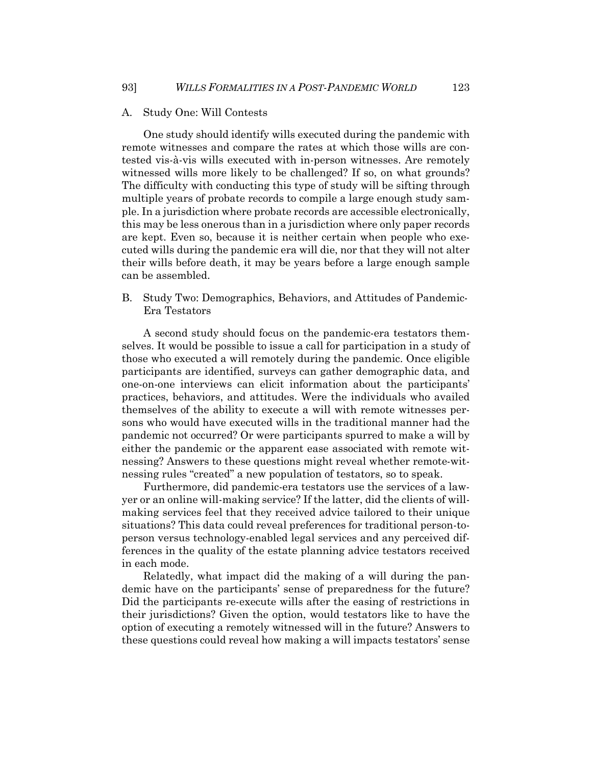#### A. Study One: Will Contests

One study should identify wills executed during the pandemic with remote witnesses and compare the rates at which those wills are contested vis-à-vis wills executed with in-person witnesses. Are remotely witnessed wills more likely to be challenged? If so, on what grounds? The difficulty with conducting this type of study will be sifting through multiple years of probate records to compile a large enough study sample. In a jurisdiction where probate records are accessible electronically, this may be less onerous than in a jurisdiction where only paper records are kept. Even so, because it is neither certain when people who executed wills during the pandemic era will die, nor that they will not alter their wills before death, it may be years before a large enough sample can be assembled.

B. Study Two: Demographics, Behaviors, and Attitudes of Pandemic-Era Testators

A second study should focus on the pandemic-era testators themselves. It would be possible to issue a call for participation in a study of those who executed a will remotely during the pandemic. Once eligible participants are identified, surveys can gather demographic data, and one-on-one interviews can elicit information about the participants' practices, behaviors, and attitudes. Were the individuals who availed themselves of the ability to execute a will with remote witnesses persons who would have executed wills in the traditional manner had the pandemic not occurred? Or were participants spurred to make a will by either the pandemic or the apparent ease associated with remote witnessing? Answers to these questions might reveal whether remote-witnessing rules "created" a new population of testators, so to speak.

Furthermore, did pandemic-era testators use the services of a lawyer or an online will-making service? If the latter, did the clients of willmaking services feel that they received advice tailored to their unique situations? This data could reveal preferences for traditional person-toperson versus technology-enabled legal services and any perceived differences in the quality of the estate planning advice testators received in each mode.

Relatedly, what impact did the making of a will during the pandemic have on the participants' sense of preparedness for the future? Did the participants re-execute wills after the easing of restrictions in their jurisdictions? Given the option, would testators like to have the option of executing a remotely witnessed will in the future? Answers to these questions could reveal how making a will impacts testators' sense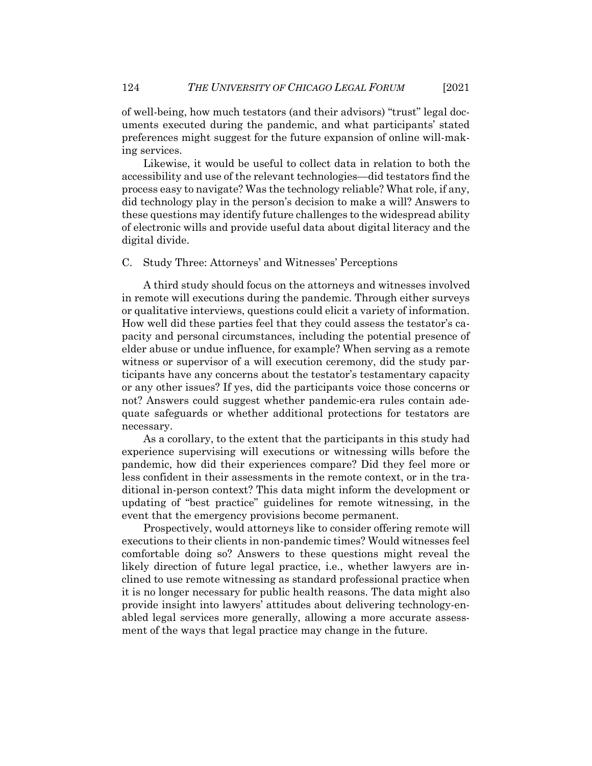of well-being, how much testators (and their advisors) "trust" legal documents executed during the pandemic, and what participants' stated preferences might suggest for the future expansion of online will-making services.

Likewise, it would be useful to collect data in relation to both the accessibility and use of the relevant technologies—did testators find the process easy to navigate? Was the technology reliable? What role, if any, did technology play in the person's decision to make a will? Answers to these questions may identify future challenges to the widespread ability of electronic wills and provide useful data about digital literacy and the digital divide.

#### C. Study Three: Attorneys' and Witnesses' Perceptions

A third study should focus on the attorneys and witnesses involved in remote will executions during the pandemic. Through either surveys or qualitative interviews, questions could elicit a variety of information. How well did these parties feel that they could assess the testator's capacity and personal circumstances, including the potential presence of elder abuse or undue influence, for example? When serving as a remote witness or supervisor of a will execution ceremony, did the study participants have any concerns about the testator's testamentary capacity or any other issues? If yes, did the participants voice those concerns or not? Answers could suggest whether pandemic-era rules contain adequate safeguards or whether additional protections for testators are necessary.

As a corollary, to the extent that the participants in this study had experience supervising will executions or witnessing wills before the pandemic, how did their experiences compare? Did they feel more or less confident in their assessments in the remote context, or in the traditional in-person context? This data might inform the development or updating of "best practice" guidelines for remote witnessing, in the event that the emergency provisions become permanent.

Prospectively, would attorneys like to consider offering remote will executions to their clients in non-pandemic times? Would witnesses feel comfortable doing so? Answers to these questions might reveal the likely direction of future legal practice, i.e., whether lawyers are inclined to use remote witnessing as standard professional practice when it is no longer necessary for public health reasons. The data might also provide insight into lawyers' attitudes about delivering technology-enabled legal services more generally, allowing a more accurate assessment of the ways that legal practice may change in the future.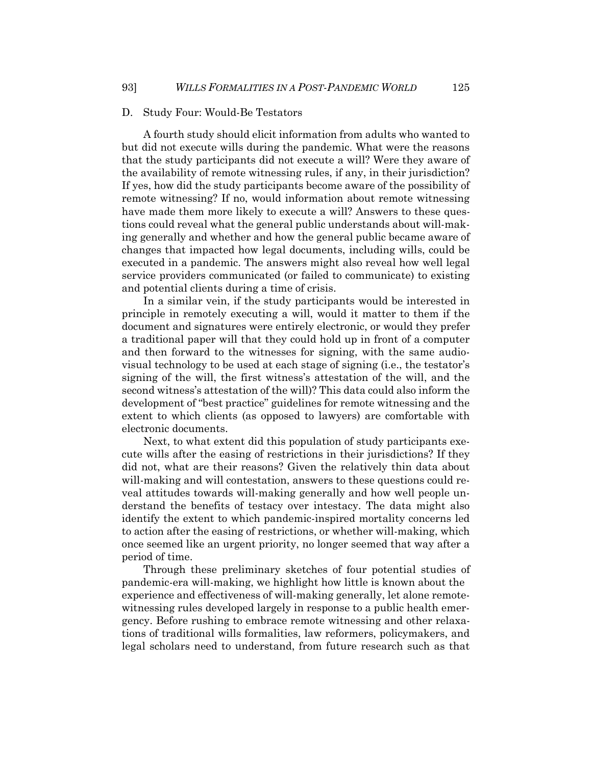#### D. Study Four: Would-Be Testators

A fourth study should elicit information from adults who wanted to but did not execute wills during the pandemic. What were the reasons that the study participants did not execute a will? Were they aware of the availability of remote witnessing rules, if any, in their jurisdiction? If yes, how did the study participants become aware of the possibility of remote witnessing? If no, would information about remote witnessing have made them more likely to execute a will? Answers to these questions could reveal what the general public understands about will-making generally and whether and how the general public became aware of changes that impacted how legal documents, including wills, could be executed in a pandemic. The answers might also reveal how well legal service providers communicated (or failed to communicate) to existing and potential clients during a time of crisis.

In a similar vein, if the study participants would be interested in principle in remotely executing a will, would it matter to them if the document and signatures were entirely electronic, or would they prefer a traditional paper will that they could hold up in front of a computer and then forward to the witnesses for signing, with the same audiovisual technology to be used at each stage of signing (i.e., the testator's signing of the will, the first witness's attestation of the will, and the second witness's attestation of the will)? This data could also inform the development of "best practice" guidelines for remote witnessing and the extent to which clients (as opposed to lawyers) are comfortable with electronic documents.

Next, to what extent did this population of study participants execute wills after the easing of restrictions in their jurisdictions? If they did not, what are their reasons? Given the relatively thin data about will-making and will contestation, answers to these questions could reveal attitudes towards will-making generally and how well people understand the benefits of testacy over intestacy. The data might also identify the extent to which pandemic-inspired mortality concerns led to action after the easing of restrictions, or whether will-making, which once seemed like an urgent priority, no longer seemed that way after a period of time.

Through these preliminary sketches of four potential studies of pandemic-era will-making, we highlight how little is known about the experience and effectiveness of will-making generally, let alone remotewitnessing rules developed largely in response to a public health emergency. Before rushing to embrace remote witnessing and other relaxations of traditional wills formalities, law reformers, policymakers, and legal scholars need to understand, from future research such as that